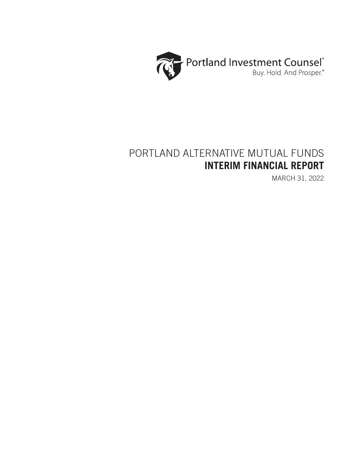

# PORTLAND ALTERNATIVE MUTUAL FUNDS **INTERIM FINANCIAL REPORT**

MARCH 31, 2022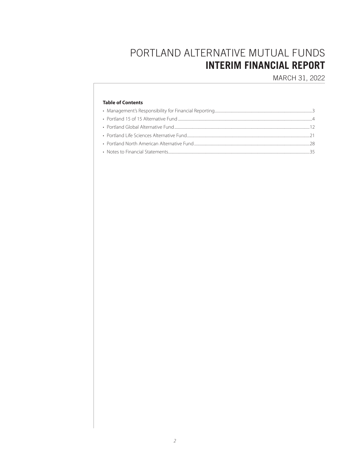# PORTLAND ALTERNATIVE MUTUAL FUNDS **INTERIM FINANCIAL REPORT**

MARCH 31, 2022

## **Table of Contents**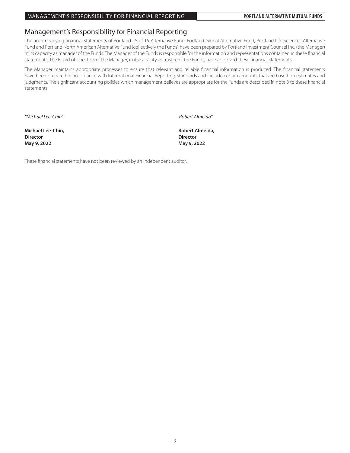## Management's Responsibility for Financial Reporting

The accompanying financial statements of Portland 15 of 15 Alternative Fund, Portland Global Alternative Fund, Portland Life Sciences Alternative Fund and Portland North American Alternative Fund (collectively the Funds) have been prepared by Portland Investment Counsel Inc. (the Manager) in its capacity as manager of the Funds. The Manager of the Funds is responsible for the information and representations contained in these financial statements. The Board of Directors of the Manager, in its capacity as trustee of the Funds, have approved these financial statements.

The Manager maintains appropriate processes to ensure that relevant and reliable financial information is produced. The financial statements have been prepared in accordance with International Financial Reporting Standards and include certain amounts that are based on estimates and judgments. The significant accounting policies which management believes are appropriate for the Funds are described in note 3 to these financial statements.

*"Michael Lee-Chin" "Robert Almeida"*

**Michael Lee-Chin,** *Robert Almeida***,** *Robert Almeida***, Director Director May 9, 2022 May 9, 2022**

These financial statements have not been reviewed by an independent auditor.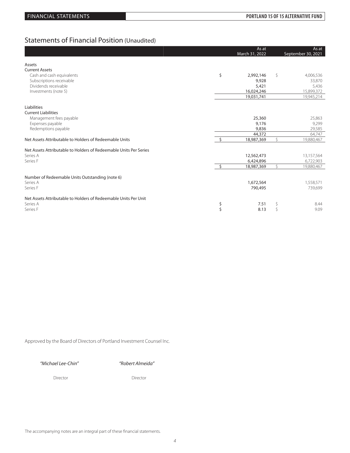## Statements of Financial Position (Unaudited)

|                                                                   | As at<br>March 31, 2022    |    | As at<br>September 30, 2021 |
|-------------------------------------------------------------------|----------------------------|----|-----------------------------|
| Assets                                                            |                            |    |                             |
| <b>Current Assets</b>                                             |                            |    |                             |
| Cash and cash equivalents                                         | \$<br>2,992,146            | \$ | 4,006,536                   |
| Subscriptions receivable                                          | 9,928                      |    | 33,870                      |
| Dividends receivable                                              | 5,421                      |    | 5,436                       |
| Investments (note 5)                                              | 16,024,246                 |    | 15,899,372                  |
|                                                                   | 19,031,741                 |    | 19,945,214                  |
|                                                                   |                            |    |                             |
| Liabilities                                                       |                            |    |                             |
| <b>Current Liabilities</b>                                        | 25,360                     |    | 25,863                      |
| Management fees payable                                           | 9,176                      |    | 9,299                       |
| Expenses payable<br>Redemptions payable                           | 9,836                      |    | 29,585                      |
|                                                                   | 44,372                     |    | 64,747                      |
| Net Assets Attributable to Holders of Redeemable Units            | $\mathsf{S}$<br>18,987,369 | Ŝ. | 19,880,467                  |
|                                                                   |                            |    |                             |
| Net Assets Attributable to Holders of Redeemable Units Per Series |                            |    |                             |
| Series A                                                          | 12,562,473                 |    | 13,157,564                  |
| Series F                                                          | 6,424,896                  |    | 6,722,903                   |
|                                                                   | $\mathsf{S}$<br>18,987,369 | Ŝ. | 19,880,467                  |
|                                                                   |                            |    |                             |
| Number of Redeemable Units Outstanding (note 6)                   |                            |    |                             |
| Series A                                                          | 1,672,564                  |    | 1,558,571                   |
| Series F                                                          | 790,495                    |    | 739,699                     |
| Net Assets Attributable to Holders of Redeemable Units Per Unit   |                            |    |                             |
| Series A                                                          | \$<br>7.51                 |    | 8.44                        |
| Series F                                                          | Ś<br>8.13                  |    | 9.09                        |

Approved by the Board of Directors of Portland Investment Counsel Inc.

*"Michael Lee-Chin" "Robert Almeida"*

Director Director Director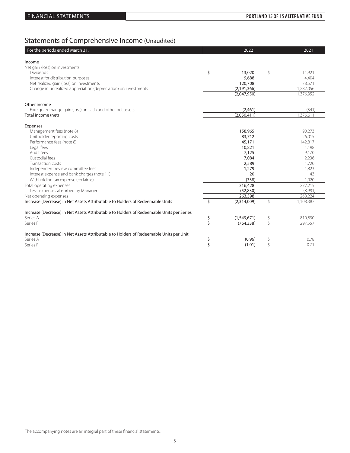# Statements of Comprehensive Income (Unaudited)

| For the periods ended March 31,                                                          |                    | 2022          |    | 2021      |
|------------------------------------------------------------------------------------------|--------------------|---------------|----|-----------|
| Income                                                                                   |                    |               |    |           |
| Net gain (loss) on investments                                                           |                    |               |    |           |
| <b>Dividends</b>                                                                         | \$                 | 13,020        | \$ | 11,921    |
| Interest for distribution purposes                                                       |                    | 9,688         |    | 4,404     |
| Net realized gain (loss) on investments                                                  |                    | 120,708       |    | 78,571    |
| Change in unrealized appreciation (depreciation) on investments                          |                    | (2, 191, 366) |    | 1,282,056 |
|                                                                                          |                    | (2,047,950)   |    | 1,376,952 |
| Other income                                                                             |                    |               |    |           |
| Foreign exchange gain (loss) on cash and other net assets                                |                    | (2,461)       |    | (341)     |
| Total income (net)                                                                       |                    | (2,050,411)   |    | 1,376,611 |
| Expenses                                                                                 |                    |               |    |           |
| Management fees (note 8)                                                                 |                    | 158,965       |    | 90,273    |
| Unitholder reporting costs                                                               |                    | 83,712        |    | 26,015    |
| Performance fees (note 8)                                                                |                    | 45,171        |    | 142,817   |
| Legal fees                                                                               |                    | 10,821        |    | 1,198     |
| Audit fees                                                                               |                    | 7,125         |    | 9,170     |
| Custodial fees                                                                           |                    | 7,084         |    | 2,236     |
| Transaction costs                                                                        |                    | 2,589         |    | 1,720     |
| Independent review committee fees                                                        |                    | 1,279         |    | 1,823     |
| Interest expense and bank charges (note 11)                                              |                    | 20            |    | 43        |
| Withholding tax expense (reclaims)                                                       |                    | (338)         |    | 1,920     |
| Total operating expenses                                                                 |                    | 316,428       |    | 277,215   |
| Less: expenses absorbed by Manager                                                       |                    | (52, 830)     |    | (8,991)   |
| Net operating expenses                                                                   |                    | 263,598       |    | 268,224   |
| Increase (Decrease) in Net Assets Attributable to Holders of Redeemable Units            | $\zeta$            | (2,314,009)   | Ŝ. | 1,108,387 |
| Increase (Decrease) in Net Assets Attributable to Holders of Redeemable Units per Series |                    |               |    |           |
| Series A                                                                                 | \$                 | (1,549,671)   | \$ | 810,830   |
| Series F                                                                                 | $\mathsf{\dot{S}}$ | (764, 338)    | \$ | 297,557   |
| Increase (Decrease) in Net Assets Attributable to Holders of Redeemable Units per Unit   |                    |               |    |           |
| Series A                                                                                 | \$                 | (0.96)        | \$ | 0.78      |
| Series F                                                                                 | \$                 | (1.01)        | \$ | 0.71      |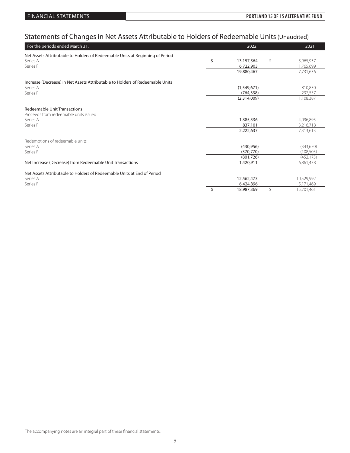# Statements of Changes in Net Assets Attributable to Holders of Redeemable Units (Unaudited)

| For the periods ended March 31,                                               | 2021<br>2022     |                  |  |  |
|-------------------------------------------------------------------------------|------------------|------------------|--|--|
| Net Assets Attributable to Holders of Redeemable Units at Beginning of Period |                  |                  |  |  |
| Series A                                                                      | \$<br>13,157,564 | \$<br>5,965,937  |  |  |
| Series F                                                                      | 6,722,903        | 1,765,699        |  |  |
|                                                                               | 19,880,467       | 7,731,636        |  |  |
|                                                                               |                  |                  |  |  |
| Increase (Decrease) in Net Assets Attributable to Holders of Redeemable Units |                  |                  |  |  |
| Series A                                                                      | (1,549,671)      | 810,830          |  |  |
| Series F                                                                      | (764, 338)       | 297,557          |  |  |
|                                                                               | (2,314,009)      | 1,108,387        |  |  |
| Redeemable Unit Transactions                                                  |                  |                  |  |  |
| Proceeds from redeemable units issued                                         |                  |                  |  |  |
| Series A                                                                      | 1,385,536        | 4,096,895        |  |  |
| Series F                                                                      | 837,101          | 3,216,718        |  |  |
|                                                                               | 2,222,637        | 7,313,613        |  |  |
|                                                                               |                  |                  |  |  |
| Redemptions of redeemable units                                               |                  |                  |  |  |
| Series A                                                                      | (430,956)        | (343,670)        |  |  |
| Series F                                                                      | (370, 770)       | (108, 505)       |  |  |
|                                                                               | (801, 726)       | (452, 175)       |  |  |
| Net Increase (Decrease) from Redeemable Unit Transactions                     | 1,420,911        | 6,861,438        |  |  |
| Net Assets Attributable to Holders of Redeemable Units at End of Period       |                  |                  |  |  |
| Series A                                                                      | 12,562,473       | 10,529,992       |  |  |
| Series F                                                                      | 6,424,896        | 5.171.469        |  |  |
|                                                                               | Ŝ.<br>18,987,369 | Ś.<br>15,701,461 |  |  |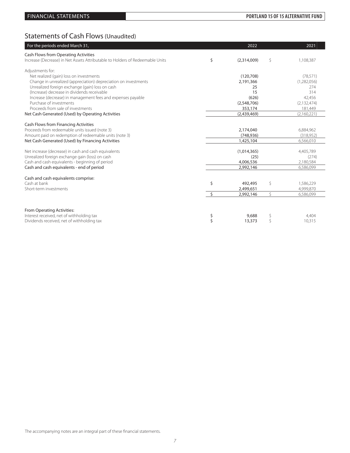## FINANCIAL STATEMENTS **PORTLAND 15 OF 15 ALTERNATIVE FUND**

# Statements of Cash Flows (Unaudited)

| For the periods ended March 31,                                                                    |                    | 2022              |    | 2021               |
|----------------------------------------------------------------------------------------------------|--------------------|-------------------|----|--------------------|
| Cash Flows from Operating Activities                                                               |                    |                   |    |                    |
| Increase (Decrease) in Net Assets Attributable to Holders of Redeemable Units                      | \$                 | (2,314,009)       | \$ | 1,108,387          |
| Adjustments for:                                                                                   |                    |                   |    |                    |
| Net realized (gain) loss on investments                                                            |                    | (120, 708)        |    | (78, 571)          |
| Change in unrealized (appreciation) depreciation on investments                                    |                    | 2,191,366         |    | (1,282,056)        |
| Unrealized foreign exchange (gain) loss on cash                                                    |                    | 25                |    | 274                |
| (Increase) decrease in dividends receivable                                                        |                    | 15                |    | 314                |
| Increase (decrease) in management fees and expenses payable                                        |                    | (626)             |    | 42,456             |
| Purchase of investments                                                                            |                    | (2,548,706)       |    | (2, 132, 474)      |
| Proceeds from sale of investments                                                                  |                    | 353,174           |    | 181,449            |
| Net Cash Generated (Used) by Operating Activities                                                  |                    | (2,439,469)       |    | (2,160,221)        |
| Cash Flows from Financing Activities                                                               |                    |                   |    |                    |
| Proceeds from redeemable units issued (note 3)                                                     |                    | 2,174,040         |    | 6,884,962          |
| Amount paid on redemption of redeemable units (note 3)                                             |                    | (748, 936)        |    | (318,952)          |
| Net Cash Generated (Used) by Financing Activities                                                  |                    | 1,425,104         |    | 6,566,010          |
|                                                                                                    |                    |                   |    |                    |
| Net increase (decrease) in cash and cash equivalents                                               |                    | (1,014,365)       |    | 4,405,789          |
| Unrealized foreign exchange gain (loss) on cash<br>Cash and cash equivalents - beginning of period |                    | (25)<br>4,006,536 |    | (274)<br>2,180,584 |
| Cash and cash equivalents - end of period                                                          |                    | 2,992,146         |    | 6,586,099          |
|                                                                                                    |                    |                   |    |                    |
| Cash and cash equivalents comprise:                                                                |                    |                   |    |                    |
| Cash at bank                                                                                       | \$                 | 492,495           | \$ | 1,586,229          |
| Short-term investments                                                                             |                    | 2,499,651         |    | 4,999,870          |
|                                                                                                    | $\mathsf{\dot{S}}$ | 2,992,146         | \$ | 6,586,099          |
|                                                                                                    |                    |                   |    |                    |
| From Operating Activities:                                                                         |                    |                   |    |                    |
| Interest received, net of withholding tax                                                          | \$                 | 9,688             | \$ | 4,404              |
| Dividends received, net of withholding tax                                                         | \$                 | 13,373            | Ŝ  | 10,315             |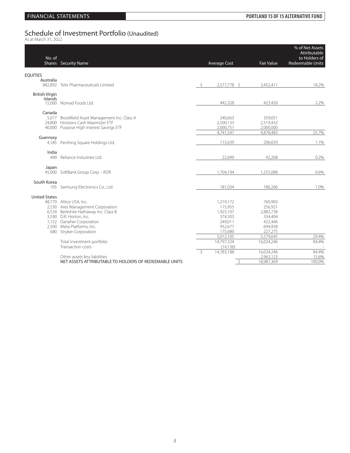# Schedule of Investment Portfolio (Unaudited)<br><sup>As at March 31, 2022</sup>

| No. of                           | <b>Shares</b> Security Name                                                                                                                                                                                            |    | <b>Average Cost</b>                                                                        | <b>Fair Value</b>                                                                        | % of Net Assets<br>Attributable<br>to Holders of<br><b>Redeemable Units</b> |
|----------------------------------|------------------------------------------------------------------------------------------------------------------------------------------------------------------------------------------------------------------------|----|--------------------------------------------------------------------------------------------|------------------------------------------------------------------------------------------|-----------------------------------------------------------------------------|
| <b>EQUITIES</b>                  |                                                                                                                                                                                                                        |    |                                                                                            |                                                                                          |                                                                             |
| Australia                        | 882,892 Telix Pharmaceuticals Limited                                                                                                                                                                                  | -Ŝ | 2,577,778 \$                                                                               | 3,452,411                                                                                | 18.2%                                                                       |
| <b>British Virgin</b><br>Islands | 15,000 Nomad Foods Ltd.                                                                                                                                                                                                |    |                                                                                            |                                                                                          | 2.2%                                                                        |
|                                  |                                                                                                                                                                                                                        |    | 442,328                                                                                    | 423,426                                                                                  |                                                                             |
| Canada                           | 5,077 Brookfield Asset Management Inc. Class A<br>24.800 Horizons Cash Maximizer ETF<br>40,000 Purpose High Interest Savings ETF                                                                                       |    | 240,663<br>2,500,133<br>2,000,751                                                          | 359,051<br>2,519,432<br>2,000,000                                                        |                                                                             |
| Guernsey                         |                                                                                                                                                                                                                        |    | 4,741,547                                                                                  | 4,878,483                                                                                | 25.7%                                                                       |
|                                  | 4,185 Pershing Square Holdings Ltd.                                                                                                                                                                                    |    | 115,639                                                                                    | 206,659                                                                                  | 1.1%                                                                        |
| India<br>490                     | Reliance Industries Ltd.                                                                                                                                                                                               |    | 22,699                                                                                     | 42,268                                                                                   | 0.2%                                                                        |
| Japan                            | 45,000 SoftBank Group Corp. - ADR                                                                                                                                                                                      |    | 1,704,194                                                                                  | 1,255,088                                                                                | 6.6%                                                                        |
| South Korea                      | 105 Samsung Electronics Co., Ltd.                                                                                                                                                                                      |    | 181,034                                                                                    | 186,266                                                                                  | 1.0%                                                                        |
| <b>United States</b>             | 48,770 Altice USA, Inc.<br>2,530 Ares Management Corporation<br>6,534 Berkshire Hathaway Inc. Class B<br>3,590 D.R. Horton, Inc.<br>1,152 Danaher Corporation<br>2,500 Meta Platforms, Inc.<br>680 Stryker Corporation |    | 1,219,172<br>115,955<br>1,925,107<br>374,503<br>249,011<br>952,677<br>175,680<br>5,012,105 | 760,903<br>256,921<br>2,882,738<br>334,404<br>422,446<br>694,958<br>227,275<br>5,579,645 | 29.4%                                                                       |
|                                  | Total investment portfolio<br>Transaction costs                                                                                                                                                                        |    | 14.797.324<br>(14, 136)                                                                    | 16,024,246                                                                               | 84.4%                                                                       |
|                                  | Other assets less liabilities<br>NET ASSETS ATTRIBUTABLE TO HOLDERS OF REDEEMABLE UNITS                                                                                                                                | Ŝ. | 14,783,188<br>-\$                                                                          | 16,024,246<br>2,963,123<br>18,987,369                                                    | 84.4%<br>15.6%<br>100.0%                                                    |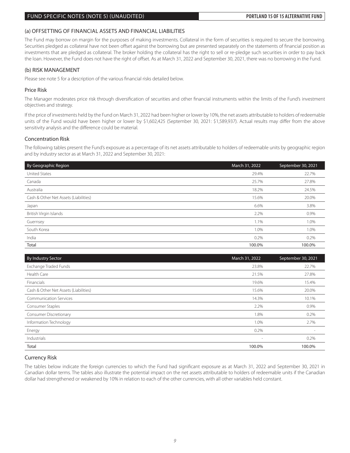### FUND SPECIFIC NOTES (NOTE 5) (UNAUDITED) **PORTLAND 15 OF 15 ALTERNATIVE FUND**

### (a) OFFSETTING OF FINANCIAL ASSETS AND FINANCIAL LIABILITIES

The Fund may borrow on margin for the purposes of making investments. Collateral in the form of securities is required to secure the borrowing. Securities pledged as collateral have not been offset against the borrowing but are presented separately on the statements of financial position as investments that are pledged as collateral. The broker holding the collateral has the right to sell or re-pledge such securities in order to pay back the loan. However, the Fund does not have the right of offset. As at March 31, 2022 and September 30, 2021, there was no borrowing in the Fund.

### (b) RISK MANAGEMENT

Please see note 5 for a description of the various financial risks detailed below.

### Price Risk

The Manager moderates price risk through diversification of securities and other financial instruments within the limits of the Fund's investment objectives and strategy.

If the price of investments held by the Fund on March 31, 2022 had been higher or lower by 10%, the net assets attributable to holders of redeemable units of the Fund would have been higher or lower by \$1,602,425 (September 30, 2021: \$1,589,937). Actual results may differ from the above sensitivity analysis and the difference could be material.

### Concentration Risk

The following tables present the Fund's exposure as a percentage of its net assets attributable to holders of redeemable units by geographic region and by industry sector as at March 31, 2022 and September 30, 2021:

| By Geographic Region                  | March 31, 2022 | September 30, 2021 |
|---------------------------------------|----------------|--------------------|
| <b>United States</b>                  | 29.4%          | 22.7%              |
| Canada                                | 25.7%          | 27.8%              |
| Australia                             | 18.2%          | 24.5%              |
| Cash & Other Net Assets (Liabilities) | 15.6%          | 20.0%              |
| Japan                                 | 6.6%           | 3.8%               |
| British Virgin Islands                | 2.2%           | 0.9%               |
| Guernsey                              | 1.1%           | 1.0%               |
| South Korea                           | 1.0%           | 1.0%               |
| India                                 | 0.2%           | 0.2%               |
| Total                                 | 100.0%         | 100.0%             |

| <b>By Industry Sector</b>             | March 31, 2022           | September 30, 2021 |
|---------------------------------------|--------------------------|--------------------|
| Exchange Traded Funds                 | 23.8%                    | 22.7%              |
| Health Care                           | 21.5%                    | 27.8%              |
| Financials                            | 19.6%                    | 15.4%              |
| Cash & Other Net Assets (Liabilities) | 15.6%                    | 20.0%              |
| <b>Communication Services</b>         | 14.3%                    | 10.1%              |
| Consumer Staples                      | 2.2%                     | 0.9%               |
| <b>Consumer Discretionary</b>         | 1.8%                     | 0.2%               |
| Information Technology                | 1.0%                     | 2.7%               |
| Energy                                | 0.2%                     |                    |
| Industrials                           | $\overline{\phantom{a}}$ | 0.2%               |
| Total                                 | 100.0%                   | 100.0%             |

### Currency Risk

The tables below indicate the foreign currencies to which the Fund had significant exposure as at March 31, 2022 and September 30, 2021 in Canadian dollar terms. The tables also illustrate the potential impact on the net assets attributable to holders of redeemable units if the Canadian dollar had strengthened or weakened by 10% in relation to each of the other currencies, with all other variables held constant.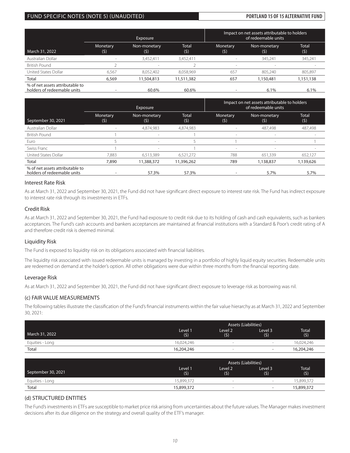### FUND SPECIFIC NOTES (NOTE 5) (UNAUDITED) **PORTLAND 15 OF 15 ALTERNATIVE FUND**

|                                                                |                 | <b>Exposure</b>          |              | Impact on net assets attributable to holders<br>of redeemable units |                     |                     |
|----------------------------------------------------------------|-----------------|--------------------------|--------------|---------------------------------------------------------------------|---------------------|---------------------|
| March 31, 2022                                                 | Monetary<br>(5) | Non-monetary<br>(5)      | Total<br>(5) | Monetary<br>(5)                                                     | Non-monetary<br>(5) | <b>Total</b><br>(5) |
| Australian Dollar                                              |                 | 3,452,411                | 3,452,411    |                                                                     | 345.241             | 345,241             |
| <b>British Pound</b>                                           |                 | $\overline{\phantom{a}}$ |              | $\overline{\phantom{a}}$                                            |                     |                     |
| United States Dollar                                           | 6.567           | 8,052,402                | 8,058,969    | 657                                                                 | 805.240             | 805.897             |
| Total                                                          | 6,569           | 11,504,813               | 11,511,382   | 657                                                                 | 1,150,481           | 1,151,138           |
| % of net assets attributable to<br>holders of redeemable units |                 | 60.6%                    | 60.6%        |                                                                     | 6.1%                | 6.1%                |

|                                                                |                          | Exposure                  |              | Impact on net assets attributable to holders |                     |                     |
|----------------------------------------------------------------|--------------------------|---------------------------|--------------|----------------------------------------------|---------------------|---------------------|
| September 30, 2021                                             | Monetary<br>(5)          | Non-monetary<br>$(\zeta)$ | Total<br>(5) | Monetary<br>(5)                              | Non-monetary<br>(5) | <b>Total</b><br>(5) |
| Australian Dollar                                              |                          | 4,874,983                 | 4,874,983    |                                              | 487.498             | 487,498             |
| <b>British Pound</b>                                           |                          |                           |              |                                              |                     |                     |
| Euro                                                           |                          | $\sim$                    |              |                                              | $\sim$              |                     |
| Swiss Franc                                                    |                          | $\sim$                    |              | $\sim$                                       |                     |                     |
| United States Dollar                                           | 7.883                    | 6,513,389                 | 6,521,272    | 788                                          | 651.339             | 652.127             |
| Total                                                          | 7,890                    | 11,388,372                | 11,396,262   | 789                                          | 1,138,837           | 1,139,626           |
| % of net assets attributable to<br>holders of redeemable units | $\overline{\phantom{a}}$ | 57.3%                     | 57.3%        | -                                            | 5.7%                | 5.7%                |

### Interest Rate Risk

As at March 31, 2022 and September 30, 2021, the Fund did not have significant direct exposure to interest rate risk. The Fund has indirect exposure to interest rate risk through its investments in ETFs.

### Credit Risk

As at March 31, 2022 and September 30, 2021, the Fund had exposure to credit risk due to its holding of cash and cash equivalents, such as bankers acceptances. The Fund's cash accounts and bankers acceptances are maintained at financial institutions with a Standard & Poor's credit rating of A and therefore credit risk is deemed minimal.

### Liquidity Risk

The Fund is exposed to liquidity risk on its obligations associated with financial liabilities.

The liquidity risk associated with issued redeemable units is managed by investing in a portfolio of highly liquid equity securities. Redeemable units are redeemed on demand at the holder's option. All other obligations were due within three months from the financial reporting date.

### Leverage Risk

As at March 31, 2022 and September 30, 2021, the Fund did not have significant direct exposure to leverage risk as borrowing was nil.

### (c) FAIR VALUE MEASUREMENTS

The following tables illustrate the classification of the Fund's financial instruments within the fair value hierarchy as at March 31, 2022 and September 30, 2021:

|                 |                | <b>Assets (Liabilities)</b> |                          |              |  |
|-----------------|----------------|-----------------------------|--------------------------|--------------|--|
| March 31, 2022  | Level 1<br>(5) | Level 2<br>(5)              | Level 3<br>(5)           | Total<br>(5) |  |
| Equities - Long | 16.024.246     | $\sim$                      | $\sim$                   | 16,024,246   |  |
| Total           | 16,204,246     | $\sim$                      | $\overline{\phantom{a}}$ | 16,204,246   |  |

|                    | <b>Assets (Liabilities)</b> |                |                          |                     |  |
|--------------------|-----------------------------|----------------|--------------------------|---------------------|--|
| September 30, 2021 | Level 1<br>(5)              | Level 2<br>(5) | Level 3<br>(5)           | <b>Total</b><br>(5) |  |
| Equities - Long    | 15,899,372                  |                | <b>Section</b>           | 15,899,372          |  |
| Total              | 15,899,372                  |                | $\overline{\phantom{0}}$ | 15,899,372          |  |

### (d) STRUCTURED ENTITIES

The Fund's investments in ETFs are susceptible to market price risk arising from uncertainties about the future values. The Manager makes investment decisions after its due diligence on the strategy and overall quality of the ETF's manager.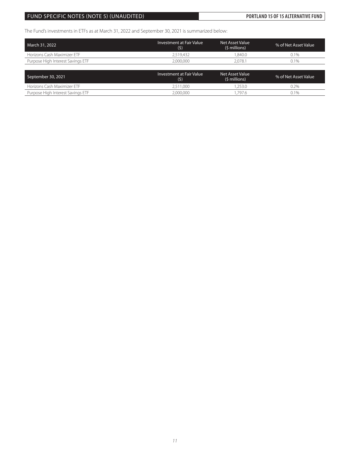## FUND SPECIFIC NOTES (NOTE 5) (UNAUDITED) **PORTLAND 15 OF 15 ALTERNATIVE FUND**

The Fund's investments in ETFs as at March 31, 2022 and September 30, 2021 is summarized below:

| March 31, 2022                    | <b>Investment at Fair Value</b><br>(5) | Net Asset Value<br>(\$ millions) | % of Net Asset Value |
|-----------------------------------|----------------------------------------|----------------------------------|----------------------|
| Horizons Cash Maximizer FTF       | 2.519.432                              | .840.0                           | $0.1\%$              |
| Purpose High Interest Savings ETF | 2.000.000                              | 2.078.1                          | 0.1%                 |
|                                   |                                        |                                  |                      |

| September 30, 2021                | Investment at Fair Value<br>(5) | Net Asset Value<br>(\$ millions) | % of Net Asset Value |
|-----------------------------------|---------------------------------|----------------------------------|----------------------|
| Horizons Cash Maximizer ETF       | 2.511.000                       | .253.C                           | $0.2\%$              |
| Purpose High Interest Savings ETF | 2,000,000                       | 1.797.6                          | 0.1%                 |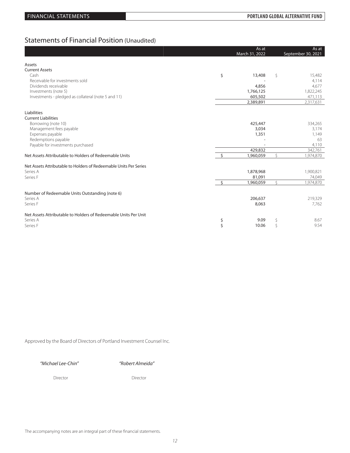## Statements of Financial Position (Unaudited)

|                                                                        | As at          |    | As at              |
|------------------------------------------------------------------------|----------------|----|--------------------|
|                                                                        | March 31, 2022 |    | September 30, 2021 |
| Assets                                                                 |                |    |                    |
| <b>Current Assets</b>                                                  |                |    |                    |
| Cash<br>\$                                                             | 13,408         | \$ | 15,482             |
| Receivable for investments sold                                        |                |    | 4,114              |
| Dividends receivable                                                   | 4,856          |    | 4,677              |
| Investments (note 5)                                                   | 1,766,125      |    | 1,822,245          |
| Investments - pledged as collateral (note 5 and 11)                    | 605,502        |    | 471,113            |
|                                                                        | 2,389,891      |    | 2,317,631          |
|                                                                        |                |    |                    |
| Liabilities<br><b>Current Liabilities</b>                              |                |    |                    |
| Borrowing (note 10)                                                    | 425,447        |    | 334,265            |
| Management fees payable                                                | 3,034          |    | 3,174              |
| Expenses payable                                                       | 1,351          |    | 1,149              |
| Redemptions payable                                                    |                |    | 63                 |
| Payable for investments purchased                                      |                |    | 4,110              |
|                                                                        | 429,832        |    | 342,761            |
| $\mathsf{S}$<br>Net Assets Attributable to Holders of Redeemable Units | 1,960,059      | Ś  | 1,974,870          |
| Net Assets Attributable to Holders of Redeemable Units Per Series      |                |    |                    |
| Series A                                                               | 1,878,968      |    | 1,900,821          |
| Series F                                                               | 81,091         |    | 74,049             |
| $\mathsf{S}$                                                           | 1,960,059      | Ŝ. | 1,974,870          |
|                                                                        |                |    |                    |
| Number of Redeemable Units Outstanding (note 6)                        |                |    |                    |
| Series A                                                               | 206,637        |    | 219,329            |
| Series F                                                               | 8,063          |    | 7,762              |
| Net Assets Attributable to Holders of Redeemable Units Per Unit        |                |    |                    |
| Series A<br>\$                                                         | 9.09           | \$ | 8.67               |
| \$<br>Series F                                                         | 10.06          | Ŝ  | 9.54               |

Approved by the Board of Directors of Portland Investment Counsel Inc.

*"Michael Lee-Chin" "Robert Almeida"*

Director Director Director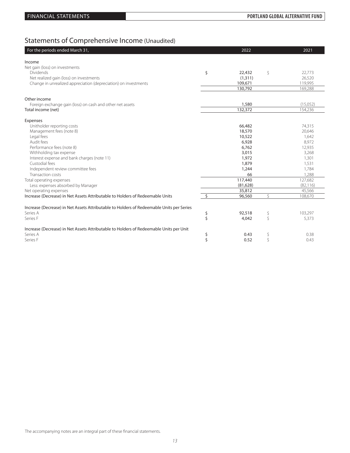# Statements of Comprehensive Income (Unaudited)

| For the periods ended March 31,                                                          |                    | 2022      |    | 2021      |
|------------------------------------------------------------------------------------------|--------------------|-----------|----|-----------|
| Income                                                                                   |                    |           |    |           |
| Net gain (loss) on investments                                                           |                    |           |    |           |
| <b>Dividends</b>                                                                         | \$                 | 22,432    | \$ | 22,773    |
| Net realized gain (loss) on investments                                                  |                    | (1, 311)  |    | 26,520    |
| Change in unrealized appreciation (depreciation) on investments                          |                    | 109,671   |    | 119,995   |
|                                                                                          |                    | 130,792   |    | 169,288   |
|                                                                                          |                    |           |    |           |
| Other income                                                                             |                    |           |    |           |
| Foreign exchange gain (loss) on cash and other net assets                                |                    | 1,580     |    | (15,052)  |
| Total income (net)                                                                       |                    | 132,372   |    | 154,236   |
|                                                                                          |                    |           |    |           |
| Expenses                                                                                 |                    |           |    |           |
| Unitholder reporting costs                                                               |                    | 66,482    |    | 74,315    |
| Management fees (note 8)                                                                 |                    | 18,570    |    | 20,646    |
| Legal fees                                                                               |                    | 10,522    |    | 1,642     |
| Audit fees                                                                               |                    | 6,928     |    | 8,972     |
| Performance fees (note 8)                                                                |                    | 6,762     |    | 12,935    |
| Withholding tax expense                                                                  |                    | 3,015     |    | 3,268     |
| Interest expense and bank charges (note 11)                                              |                    | 1,972     |    | 1,301     |
| Custodial fees                                                                           |                    | 1,879     |    | 1,531     |
| Independent review committee fees                                                        |                    | 1,244     |    | 1,784     |
| Transaction costs                                                                        |                    | 66        |    | 1.288     |
| Total operating expenses                                                                 |                    | 117,440   |    | 127,682   |
| Less: expenses absorbed by Manager                                                       |                    | (81, 628) |    | (82, 116) |
| Net operating expenses                                                                   |                    | 35,812    |    | 45,566    |
| Increase (Decrease) in Net Assets Attributable to Holders of Redeemable Units            | $\mathsf{\hat{S}}$ | 96,560    | Ś  | 108,670   |
|                                                                                          |                    |           |    |           |
| Increase (Decrease) in Net Assets Attributable to Holders of Redeemable Units per Series |                    |           |    |           |
| Series A                                                                                 | \$                 | 92,518    | \$ | 103,297   |
| Series F                                                                                 | Ś                  | 4,042     | \$ | 5,373     |
| Increase (Decrease) in Net Assets Attributable to Holders of Redeemable Units per Unit   |                    |           |    |           |
| Series A                                                                                 | \$                 | 0.43      | \$ | 0.38      |
| Series F                                                                                 | \$                 | 0.52      | Ś  | 0.43      |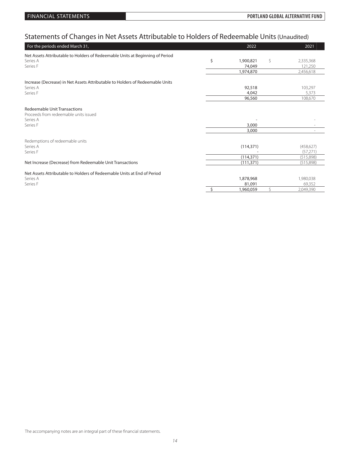# Statements of Changes in Net Assets Attributable to Holders of Redeemable Units (Unaudited)

| For the periods ended March 31,                                               | 2022            |    | 2021                     |
|-------------------------------------------------------------------------------|-----------------|----|--------------------------|
| Net Assets Attributable to Holders of Redeemable Units at Beginning of Period |                 |    |                          |
| Series A                                                                      | \$<br>1,900,821 | \$ | 2,335,368                |
| Series F                                                                      | 74,049          |    | 121,250                  |
|                                                                               | 1,974,870       |    | 2,456,618                |
| Increase (Decrease) in Net Assets Attributable to Holders of Redeemable Units |                 |    |                          |
| Series A                                                                      | 92,518          |    | 103,297                  |
| Series F                                                                      | 4,042           |    | 5,373                    |
|                                                                               | 96,560          |    | 108,670                  |
| <b>Redeemable Unit Transactions</b>                                           |                 |    |                          |
| Proceeds from redeemable units issued                                         |                 |    |                          |
| Series A                                                                      |                 |    |                          |
| Series F                                                                      | 3,000           |    |                          |
|                                                                               | 3,000           |    | $\overline{\phantom{a}}$ |
|                                                                               |                 |    |                          |
| Redemptions of redeemable units                                               |                 |    |                          |
| Series A<br>Series F                                                          | (114, 371)      |    | (458, 627)<br>(57, 271)  |
|                                                                               | (114, 371)      |    | (515,898)                |
| Net Increase (Decrease) from Redeemable Unit Transactions                     | (111, 371)      |    | (515,898)                |
|                                                                               |                 |    |                          |
| Net Assets Attributable to Holders of Redeemable Units at End of Period       |                 |    |                          |
| Series A                                                                      | 1,878,968       |    | 1,980,038                |
| Series F                                                                      | 81,091          |    | 69,352                   |
|                                                                               | \$<br>1,960,059 | Ś. | 2.049.390                |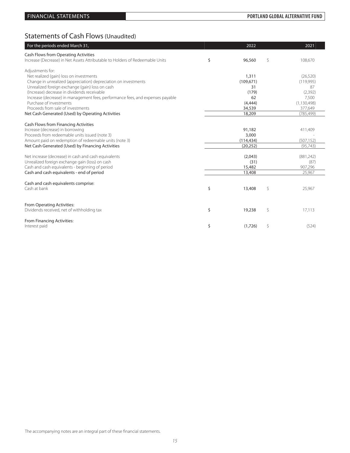# Statements of Cash Flows (Unaudited)

| For the periods ended March 31,                                                                         | 2022            |                    | 2021          |
|---------------------------------------------------------------------------------------------------------|-----------------|--------------------|---------------|
| Cash Flows from Operating Activities                                                                    |                 |                    |               |
| Increase (Decrease) in Net Assets Attributable to Holders of Redeemable Units                           | \$<br>96,560    | \$                 | 108,670       |
| Adjustments for:                                                                                        |                 |                    |               |
| Net realized (gain) loss on investments                                                                 | 1,311           |                    | (26, 520)     |
| Change in unrealized (appreciation) depreciation on investments                                         | (109, 671)      |                    | (119,995)     |
| Unrealized foreign exchange (gain) loss on cash                                                         | 31              |                    | 87            |
| (Increase) decrease in dividends receivable                                                             | (179)           |                    | (2,392)       |
| Increase (decrease) in management fees, performance fees, and expenses payable                          | 62              |                    | 7,500         |
| Purchase of investments                                                                                 | (4,444)         |                    | (1, 130, 498) |
| Proceeds from sale of investments                                                                       | 34,539          |                    | 377,649       |
| Net Cash Generated (Used) by Operating Activities                                                       | 18,209          |                    | (785, 499)    |
| Cash Flows from Financing Activities                                                                    |                 |                    |               |
| Increase (decrease) in borrowing                                                                        | 91,182          |                    | 411,409       |
| Proceeds from redeemable units issued (note 3)                                                          | 3,000           |                    |               |
| Amount paid on redemption of redeemable units (note 3)                                                  | (114, 434)      |                    | (507, 152)    |
| Net Cash Generated (Used) by Financing Activities                                                       | (20, 252)       |                    | (95, 743)     |
|                                                                                                         |                 |                    |               |
| Net increase (decrease) in cash and cash equivalents<br>Unrealized foreign exchange gain (loss) on cash | (2,043)<br>(31) | (881, 242)<br>(87) |               |
| Cash and cash equivalents - beginning of period                                                         | 15,482          |                    | 907,296       |
| Cash and cash equivalents - end of period                                                               | 13,408          |                    | 25,967        |
|                                                                                                         |                 |                    |               |
| Cash and cash equivalents comprise:                                                                     |                 |                    |               |
| Cash at bank                                                                                            | \$<br>13,408    | \$                 | 25,967        |
|                                                                                                         |                 |                    |               |
| From Operating Activities:                                                                              |                 |                    |               |
| Dividends received, net of withholding tax                                                              | \$<br>19,238    | \$                 | 17,113        |
| From Financing Activities:                                                                              |                 |                    |               |
| Interest paid                                                                                           | \$<br>(1,726)   | \$                 | (524)         |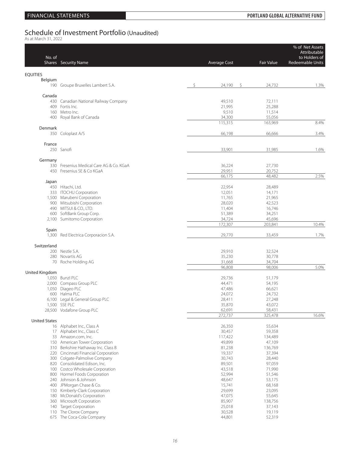# Schedule of Investment Portfolio (Unaudited)<br><sup>As at March 31, 2022</sup>

| No. of               | Shares Security Name                                                  | <b>Average Cost</b> | <b>Fair Value</b> | % of Net Assets<br>Attributable<br>to Holders of<br>Redeemable Units |
|----------------------|-----------------------------------------------------------------------|---------------------|-------------------|----------------------------------------------------------------------|
| <b>EQUITIES</b>      |                                                                       |                     |                   |                                                                      |
| Belgium              | 190 Groupe Bruxelles Lambert S.A.                                     | \$<br>24,190<br>\$  | 24,732            | 1.3%                                                                 |
| Canada               |                                                                       |                     |                   |                                                                      |
|                      | 430 Canadian National Railway Company                                 | 49,510              | 72,111            |                                                                      |
|                      | 409 Fortis Inc.<br>160 Metro Inc.                                     | 21,995<br>9,510     | 25,288<br>11,514  |                                                                      |
|                      | 400 Royal Bank of Canada                                              | 34,300              | 55,056            |                                                                      |
|                      |                                                                       | 115,315             | 163,969           | 8.4%                                                                 |
| Denmark              | 350 Coloplast A/S                                                     | 66,198              | 66,666            | 3.4%                                                                 |
| France               |                                                                       |                     |                   |                                                                      |
|                      | 250 Sanofi                                                            | 33,901              | 31,985            | 1.6%                                                                 |
| Germany              |                                                                       |                     |                   |                                                                      |
|                      | 330 Fresenius Medical Care AG & Co. KGaA                              | 36,224              | 27,730            |                                                                      |
|                      | 450 Fresenius SE & Co KGaA                                            | 29,951              | 20,752            |                                                                      |
|                      |                                                                       | 66,175              | 48,482            | 2.5%                                                                 |
| Japan                | 450 Hitachi, Ltd.                                                     | 22,954              | 28,489            |                                                                      |
|                      | 333 ITOCHU Corporation                                                | 12,051              | 14,171            |                                                                      |
|                      | 1,500 Marubeni Corporation                                            | 11,765              | 21,965            |                                                                      |
|                      | 900 Mitsubishi Corporation                                            | 28,020              | 42,523            |                                                                      |
|                      | 490 MITSUI & CO., LTD.                                                | 11,404              | 16,746            |                                                                      |
|                      | 600 SoftBank Group Corp.<br>2,100 Sumitomo Corporation                | 51,389<br>34,724    | 34,251<br>45,696  |                                                                      |
|                      |                                                                       | 172,307             | 203,841           | 10.4%                                                                |
| Spain                |                                                                       |                     |                   |                                                                      |
|                      | 1,300 Red Electrica Corporacion S.A.                                  | 29,770              | 33,459            | 1.7%                                                                 |
| Switzerland          |                                                                       |                     |                   |                                                                      |
|                      | 200 Nestle S.A.                                                       | 29,910              | 32,524            |                                                                      |
|                      | 280 Novartis AG                                                       | 35,230              | 30,778            |                                                                      |
|                      | 70 Roche Holding AG                                                   | 31,668<br>96,808    | 34,704<br>98,006  | 5.0%                                                                 |
| United Kingdom       |                                                                       |                     |                   |                                                                      |
|                      | 1,050 Bunzl PLC                                                       | 29,736              | 51,179            |                                                                      |
|                      | 2,000 Compass Group PLC                                               | 44,471              | 54,195            |                                                                      |
|                      | 1,050 Diageo PLC<br>600 Halma PLC                                     | 47,486              | 66,621            |                                                                      |
|                      | 6,100 Legal & General Group PLC                                       | 24,072<br>28,411    | 24,732<br>27,248  |                                                                      |
|                      | 1,500 SSE PLC                                                         | 35,870              | 43,072            |                                                                      |
|                      | 28,500 Vodafone Group PLC                                             | 62,691              | 58,431            |                                                                      |
|                      |                                                                       | 272,737             | 325,478           | 16.6%                                                                |
| <b>United States</b> | 16 Alphabet Inc., Class A                                             | 26,350              | 55,634            |                                                                      |
|                      | 17 Alphabet Inc., Class C                                             | 30,457              | 59,358            |                                                                      |
|                      | 33 Amazon.com, Inc.                                                   | 117,422             | 134,489           |                                                                      |
|                      | 150 American Tower Corporation                                        | 49,899              | 47,109            |                                                                      |
|                      | 310 Berkshire Hathaway Inc. Class B                                   | 81,238              | 136,769           |                                                                      |
|                      | 220 Cincinnati Financial Corporation<br>300 Colgate-Palmolive Company | 19,337<br>30,743    | 37,394<br>28,440  |                                                                      |
|                      | 820 Consolidated Edison, Inc.                                         | 89,501              | 97,059            |                                                                      |
|                      | 100 Costco Wholesale Corporation                                      | 43,518              | 71,990            |                                                                      |
|                      | 800 Hormel Foods Corporation                                          | 52,994              | 51,546            |                                                                      |
|                      | 240 Johnson & Johnson                                                 | 48,647              | 53,175            |                                                                      |
|                      | 400 JPMorgan Chase & Co.                                              | 15,741              | 68,168            |                                                                      |
|                      | 150 Kimberly-Clark Corporation<br>180 McDonald's Corporation          | 29,699<br>47,075    | 23,095<br>55,645  |                                                                      |
|                      | 360 Microsoft Corporation                                             | 85,907              | 138,756           |                                                                      |
|                      | 140 Target Corporation                                                | 25,018              | 37,143            |                                                                      |
|                      | 110 The Clorox Company                                                | 30,528              | 19,119            |                                                                      |
|                      | 675 The Coca-Cola Company                                             | 44,801              | 52,319            |                                                                      |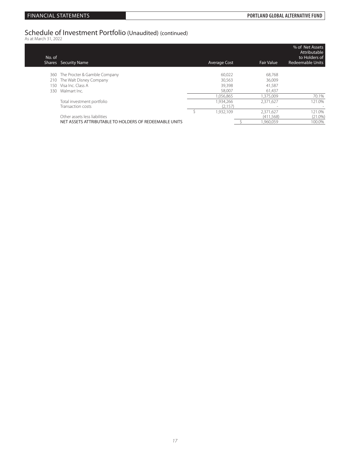# Schedule of Investment Portfolio (Unaudited) (continued) As at March 31, 2022

| No. of | <b>Shares</b> Security Name                            | Average Cost | <b>Fair Value</b> | % of Net Assets<br>Attributable<br>to Holders of<br><b>Redeemable Units</b> |
|--------|--------------------------------------------------------|--------------|-------------------|-----------------------------------------------------------------------------|
|        | 360 The Procter & Gamble Company                       | 60.022       | 68.768            |                                                                             |
| 210    | The Walt Disney Company                                | 30,563       | 36.009            |                                                                             |
| 150-   | Visa Inc. Class A                                      | 39,398       | 41,587            |                                                                             |
|        | 330 Walmart Inc.                                       | 58.007       | 61.437            |                                                                             |
|        |                                                        | 056,865      | 1.375.009         | 70.1%                                                                       |
|        | Total investment portfolio                             | .934.266     | 2,371,627         | 121.0%                                                                      |
|        | Transaction costs                                      | (2,157)      |                   |                                                                             |
|        |                                                        | .932.109     | 2,371,627         | 121.0%                                                                      |
|        | Other assets less liabilities                          |              | (411,568)         | $(21.0\%)$                                                                  |
|        | NET ASSETS ATTRIBUTABLE TO HOLDERS OF REDEEMABLE UNITS |              | .960.059          | 100.0%                                                                      |
|        |                                                        |              |                   |                                                                             |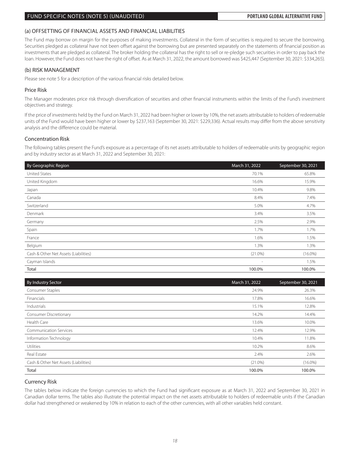### FUND SPECIFIC NOTES (NOTE 5) (UNAUDITED) **PORTLAND GLOBAL ALTERNATIVE FUND**

### (a) OFFSETTING OF FINANCIAL ASSETS AND FINANCIAL LIABILITIES

The Fund may borrow on margin for the purposes of making investments. Collateral in the form of securities is required to secure the borrowing. Securities pledged as collateral have not been offset against the borrowing but are presented separately on the statements of financial position as investments that are pledged as collateral. The broker holding the collateral has the right to sell or re-pledge such securities in order to pay back the loan. However, the Fund does not have the right of offset. As at March 31, 2022, the amount borrowed was \$425,447 (September 30, 2021: \$334,265).

### (b) RISK MANAGEMENT

Please see note 5 for a description of the various financial risks detailed below.

### Price Risk

The Manager moderates price risk through diversification of securities and other financial instruments within the limits of the Fund's investment objectives and strategy.

If the price of investments held by the Fund on March 31, 2022 had been higher or lower by 10%, the net assets attributable to holders of redeemable units of the Fund would have been higher or lower by \$237,163 (September 30, 2021: \$229,336). Actual results may differ from the above sensitivity analysis and the difference could be material.

### Concentration Risk

The following tables present the Fund's exposure as a percentage of its net assets attributable to holders of redeemable units by geographic region and by industry sector as at March 31, 2022 and September 30, 2021:

| By Geographic Region                  | March 31, 2022           | September 30, 2021 |
|---------------------------------------|--------------------------|--------------------|
| <b>United States</b>                  | 70.1%                    | 65.8%              |
| United Kingdom                        | 16.6%                    | 15.9%              |
| Japan                                 | 10.4%                    | 9.8%               |
| Canada                                | 8.4%                     | 7.4%               |
| Switzerland                           | 5.0%                     | 4.7%               |
| Denmark                               | 3.4%                     | 3.5%               |
| Germany                               | 2.5%                     | 2.9%               |
| Spain                                 | 1.7%                     | 1.7%               |
| France                                | 1.6%                     | 1.5%               |
| Belgium                               | 1.3%                     | 1.3%               |
| Cash & Other Net Assets (Liabilities) | $(21.0\%)$               | $(16.0\%)$         |
| Cayman Islands                        | $\overline{\phantom{a}}$ | 1.5%               |
| Total                                 | 100.0%                   | 100.0%             |

| By Industry Sector                    | March 31, 2022 | September 30, 2021 |
|---------------------------------------|----------------|--------------------|
| Consumer Staples                      | 24.9%          | 26.3%              |
| Financials                            | 17.8%          | 16.6%              |
| Industrials                           | 15.1%          | 12.8%              |
| <b>Consumer Discretionary</b>         | 14.2%          | 14.4%              |
| Health Care                           | 13.6%          | 10.0%              |
| <b>Communication Services</b>         | 12.4%          | 12.9%              |
| Information Technology                | 10.4%          | 11.8%              |
| Utilities                             | 10.2%          | 8.6%               |
| Real Estate                           | 2.4%           | 2.6%               |
| Cash & Other Net Assets (Liabilities) | $(21.0\%)$     | $(16.0\%)$         |
| Total                                 | 100.0%         | 100.0%             |

### Currency Risk

The tables below indicate the foreign currencies to which the Fund had significant exposure as at March 31, 2022 and September 30, 2021 in Canadian dollar terms. The tables also illustrate the potential impact on the net assets attributable to holders of redeemable units if the Canadian dollar had strengthened or weakened by 10% in relation to each of the other currencies, with all other variables held constant.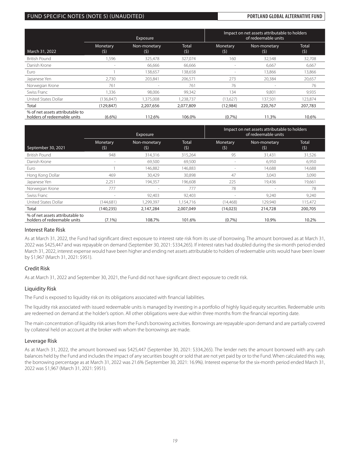### FUND SPECIFIC NOTES (NOTE 5) (UNAUDITED) **PORTLAND GLOBAL ALTERNATIVE FUND**

|                                                                |                          | Exposure            |              | Impact on net assets attributable to holders<br>of redeemable units |                          |                     |
|----------------------------------------------------------------|--------------------------|---------------------|--------------|---------------------------------------------------------------------|--------------------------|---------------------|
| March 31, 2022                                                 | Monetary<br>(5)          | Non-monetary<br>(5) | Total<br>(5) | Monetary<br>(5)                                                     | Non-monetary<br>(5)      | <b>Total</b><br>(5) |
| <b>British Pound</b>                                           | .596                     | 325.478             | 327.074      | 160                                                                 | 32,548                   | 32,708              |
| Danish Krone                                                   | $\overline{\phantom{a}}$ | 66.666              | 66,666       |                                                                     | 6.667                    | 6,667               |
| Euro                                                           |                          | 138,657             | 138,658      | $\sim$                                                              | 13,866                   | 13,866              |
| Japanese Yen                                                   | 2.730                    | 203.841             | 206,571      | 273                                                                 | 20.384                   | 20,657              |
| Norwegian Krone                                                | 761                      | $\sim$              | 761          | 76                                                                  | $\overline{\phantom{a}}$ | 76                  |
| Swiss Franc                                                    | 1.336                    | 98.006              | 99,342       | 134                                                                 | 9.801                    | 9,935               |
| <b>United States Dollar</b>                                    | (136, 847)               | ,375,008            | ,238,737     | (13,627)                                                            | 137,501                  | 123,874             |
| Total                                                          | (129, 847)               | 2,207,656           | 2,077,809    | (12,984)                                                            | 220,767                  | 207,783             |
| % of net assets attributable to<br>holders of redeemable units | $(6.6\%)$                | 112.6%              | 106.0%       | $(0.7\%)$                                                           | 11.3%                    | 10.6%               |

|                                                                |                          | Exposure            | Impact on net assets attributable to holders<br>of redeemable units |                 |                     |                     |
|----------------------------------------------------------------|--------------------------|---------------------|---------------------------------------------------------------------|-----------------|---------------------|---------------------|
| September 30, 2021                                             | Monetary<br>(5)          | Non-monetary<br>(5) | <b>Total</b><br>(5)                                                 | Monetary<br>(5) | Non-monetary<br>(5) | <b>Total</b><br>(5) |
| <b>British Pound</b>                                           | 948                      | 314.316             | 315.264                                                             | 95              | 31,431              | 31,526              |
| Danish Krone                                                   | $\overline{\phantom{a}}$ | 69,500              | 69,500                                                              |                 | 6,950               | 6,950               |
| Euro                                                           |                          | 146,882             | 146,883                                                             |                 | 14,688              | 14,688              |
| Hong Kong Dollar                                               | 469                      | 30.429              | 30,898                                                              | 47              | 3,043               | 3,090               |
| Japanese Yen                                                   | 2,251                    | 194,357             | 196,608                                                             | 225             | 19,436              | 19,661              |
| Norwegian Krone                                                | 777                      |                     | 777                                                                 | 78              | $\sim$              | 78                  |
| Swiss Franc                                                    |                          | 92,403              | 92,403                                                              |                 | 9,240               | 9,240               |
| United States Dollar                                           | (144,681)                | ,299,397            | 1,154,716                                                           | (14, 468)       | 129,940             | 115,472             |
| Total                                                          | (140, 235)               | 2,147,284           | 2,007,049                                                           | (14, 023)       | 214,728             | 200,705             |
| % of net assets attributable to<br>holders of redeemable units | $(7.1\%)$                | 108.7%              | 101.6%                                                              | $(0.7\%)$       | 10.9%               | 10.2%               |

### Interest Rate Risk

As at March 31, 2022, the Fund had significant direct exposure to interest rate risk from its use of borrowing. The amount borrowed as at March 31, 2022 was \$425,447 and was repayable on demand (September 30, 2021: \$334,265). If interest rates had doubled during the six-month period ended March 31, 2022, interest expense would have been higher and ending net assets attributable to holders of redeemable units would have been lower by \$1,967 (March 31, 2021: \$951).

### Credit Risk

As at March 31, 2022 and September 30, 2021, the Fund did not have significant direct exposure to credit risk.

### Liquidity Risk

The Fund is exposed to liquidity risk on its obligations associated with financial liabilities.

The liquidity risk associated with issued redeemable units is managed by investing in a portfolio of highly liquid equity securities. Redeemable units are redeemed on demand at the holder's option. All other obligations were due within three months from the financial reporting date.

The main concentration of liquidity risk arises from the Fund's borrowing activities. Borrowings are repayable upon demand and are partially covered by collateral held on account at the broker with whom the borrowings are made.

### Leverage Risk

As at March 31, 2022, the amount borrowed was \$425,447 (September 30, 2021: \$334,265). The lender nets the amount borrowed with any cash balances held by the Fund and includes the impact of any securities bought or sold that are not yet paid by or to the Fund. When calculated this way, the borrowing percentage as at March 31, 2022 was 21.6% (September 30, 2021: 16.9%). Interest expense for the six-month period ended March 31, 2022 was \$1,967 (March 31, 2021: \$951).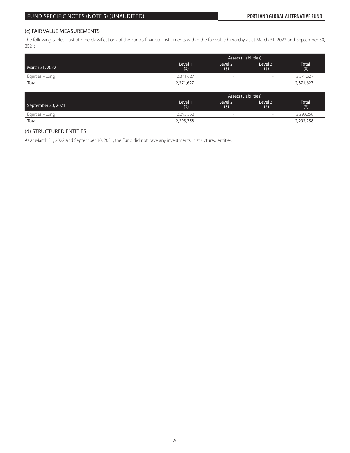### (c) FAIR VALUE MEASUREMENTS

The following tables illustrate the classifications of the Fund's financial instruments within the fair value hierarchy as at March 31, 2022 and September 30, 2021:

|                 |                | <b>Assets (Liabilities)</b> |                          |              |  |  |
|-----------------|----------------|-----------------------------|--------------------------|--------------|--|--|
| March 31, 2022  | Level 1<br>(5) | Level <sub>2</sub><br>(5)   | Level 3<br>(5)           | Total<br>(5) |  |  |
| Equities – Long | 2,371,627      | $\sim$                      | $\sim$                   | 2,371,627    |  |  |
| Total           | 2,371,627      | $\overline{\phantom{0}}$    | $\overline{\phantom{0}}$ | 2,371,627    |  |  |

|                    | <b>Assets (Liabilities)</b> |                           |                          |                     |  |  |
|--------------------|-----------------------------|---------------------------|--------------------------|---------------------|--|--|
| September 30, 2021 | Level 1<br>(5)              | Level <sub>2</sub><br>(5) | Level 3<br>(5)           | <b>Total</b><br>(5) |  |  |
| Equities – Long    | 2,293,358                   |                           | $\sim$                   | 2,293,258           |  |  |
| Total              | 2,293,358                   | -                         | $\overline{\phantom{a}}$ | 2,293,258           |  |  |

### (d) STRUCTURED ENTITIES

As at March 31, 2022 and September 30, 2021, the Fund did not have any investments in structured entities.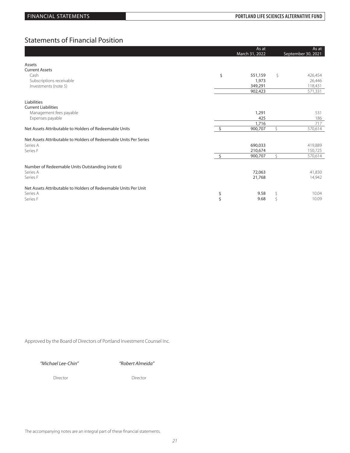## Statements of Financial Position

|                                                                   | As at<br>March 31, 2022    |    | As at<br>September 30, 2021 |
|-------------------------------------------------------------------|----------------------------|----|-----------------------------|
| Assets                                                            |                            |    |                             |
| <b>Current Assets</b>                                             |                            |    |                             |
| Cash                                                              | \$<br>551,159              | Ŝ. | 426,454                     |
| Subscriptions receivable                                          | 1,973                      |    | 26,446                      |
| Investments (note 5)                                              | 349,291                    |    | 118,431                     |
|                                                                   | 902,423                    |    | 571,331                     |
| Liabilities                                                       |                            |    |                             |
| <b>Current Liabilities</b>                                        |                            |    |                             |
| Management fees payable                                           | 1,291                      |    | 531                         |
| Expenses payable                                                  | 425                        |    | 186                         |
|                                                                   | 1,716                      |    | 717                         |
| Net Assets Attributable to Holders of Redeemable Units            | 900,707                    |    | 570,614                     |
|                                                                   |                            |    |                             |
| Net Assets Attributable to Holders of Redeemable Units Per Series |                            |    |                             |
| Series A                                                          | 690,033                    |    | 419,889                     |
| Series F                                                          | 210,674                    |    | 150,725                     |
|                                                                   | $\mathsf{S}$<br>900,707    | Ŝ. | 570,614                     |
|                                                                   |                            |    |                             |
| Number of Redeemable Units Outstanding (note 6)                   |                            |    |                             |
| Series A                                                          | 72,063                     |    | 41,830                      |
| Series F                                                          | 21,768                     |    | 14,942                      |
|                                                                   |                            |    |                             |
| Net Assets Attributable to Holders of Redeemable Units Per Unit   |                            |    |                             |
| Series A                                                          | \$<br>9.58                 | \$ | 10.04                       |
| Series F                                                          | $\mathsf{\hat{S}}$<br>9.68 | Ŝ  | 10.09                       |

Approved by the Board of Directors of Portland Investment Counsel Inc.

*"Michael Lee-Chin" "Robert Almeida"*

Director Director Director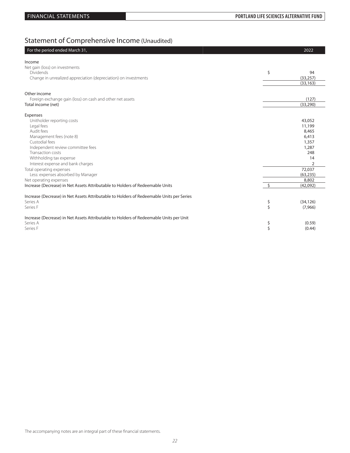# Statement of Comprehensive Income (Unaudited)

| Net gain (loss) on investments<br>\$<br><b>Dividends</b><br>94<br>Change in unrealized appreciation (depreciation) on investments<br>(33, 257)<br>(33, 163)<br>Other income<br>(127)<br>Foreign exchange gain (loss) on cash and other net assets<br>(33, 290)<br>Total income (net)<br>Unitholder reporting costs<br>43,052<br>Legal fees<br>11,199<br>Audit fees<br>8,465<br>Management fees (note 8)<br>6,413<br>Custodial fees<br>1,357<br>Independent review committee fees<br>1,287<br>Transaction costs<br>248<br>Withholding tax expense<br>14<br>Interest expense and bank charges<br>$\overline{2}$<br>Total operating expenses<br>72,037<br>Less: expenses absorbed by Manager<br>(63, 235)<br>Net operating expenses<br>8,802<br>$\mathsf{\dot{S}}$<br>(42,092)<br>Increase (Decrease) in Net Assets Attributable to Holders of Redeemable Units per Series<br>Series A<br>\$<br>(34, 126)<br>\$<br>Series F<br>(7,966)<br>\$<br>(0.59)<br>\$<br>(0.44) | For the period ended March 31,                                                         | 2022 |
|---------------------------------------------------------------------------------------------------------------------------------------------------------------------------------------------------------------------------------------------------------------------------------------------------------------------------------------------------------------------------------------------------------------------------------------------------------------------------------------------------------------------------------------------------------------------------------------------------------------------------------------------------------------------------------------------------------------------------------------------------------------------------------------------------------------------------------------------------------------------------------------------------------------------------------------------------------------------|----------------------------------------------------------------------------------------|------|
|                                                                                                                                                                                                                                                                                                                                                                                                                                                                                                                                                                                                                                                                                                                                                                                                                                                                                                                                                                     | Income                                                                                 |      |
|                                                                                                                                                                                                                                                                                                                                                                                                                                                                                                                                                                                                                                                                                                                                                                                                                                                                                                                                                                     |                                                                                        |      |
|                                                                                                                                                                                                                                                                                                                                                                                                                                                                                                                                                                                                                                                                                                                                                                                                                                                                                                                                                                     |                                                                                        |      |
|                                                                                                                                                                                                                                                                                                                                                                                                                                                                                                                                                                                                                                                                                                                                                                                                                                                                                                                                                                     |                                                                                        |      |
|                                                                                                                                                                                                                                                                                                                                                                                                                                                                                                                                                                                                                                                                                                                                                                                                                                                                                                                                                                     |                                                                                        |      |
|                                                                                                                                                                                                                                                                                                                                                                                                                                                                                                                                                                                                                                                                                                                                                                                                                                                                                                                                                                     |                                                                                        |      |
|                                                                                                                                                                                                                                                                                                                                                                                                                                                                                                                                                                                                                                                                                                                                                                                                                                                                                                                                                                     |                                                                                        |      |
|                                                                                                                                                                                                                                                                                                                                                                                                                                                                                                                                                                                                                                                                                                                                                                                                                                                                                                                                                                     |                                                                                        |      |
|                                                                                                                                                                                                                                                                                                                                                                                                                                                                                                                                                                                                                                                                                                                                                                                                                                                                                                                                                                     |                                                                                        |      |
|                                                                                                                                                                                                                                                                                                                                                                                                                                                                                                                                                                                                                                                                                                                                                                                                                                                                                                                                                                     | Expenses                                                                               |      |
|                                                                                                                                                                                                                                                                                                                                                                                                                                                                                                                                                                                                                                                                                                                                                                                                                                                                                                                                                                     |                                                                                        |      |
|                                                                                                                                                                                                                                                                                                                                                                                                                                                                                                                                                                                                                                                                                                                                                                                                                                                                                                                                                                     |                                                                                        |      |
|                                                                                                                                                                                                                                                                                                                                                                                                                                                                                                                                                                                                                                                                                                                                                                                                                                                                                                                                                                     |                                                                                        |      |
|                                                                                                                                                                                                                                                                                                                                                                                                                                                                                                                                                                                                                                                                                                                                                                                                                                                                                                                                                                     |                                                                                        |      |
|                                                                                                                                                                                                                                                                                                                                                                                                                                                                                                                                                                                                                                                                                                                                                                                                                                                                                                                                                                     |                                                                                        |      |
|                                                                                                                                                                                                                                                                                                                                                                                                                                                                                                                                                                                                                                                                                                                                                                                                                                                                                                                                                                     |                                                                                        |      |
|                                                                                                                                                                                                                                                                                                                                                                                                                                                                                                                                                                                                                                                                                                                                                                                                                                                                                                                                                                     |                                                                                        |      |
|                                                                                                                                                                                                                                                                                                                                                                                                                                                                                                                                                                                                                                                                                                                                                                                                                                                                                                                                                                     |                                                                                        |      |
|                                                                                                                                                                                                                                                                                                                                                                                                                                                                                                                                                                                                                                                                                                                                                                                                                                                                                                                                                                     |                                                                                        |      |
|                                                                                                                                                                                                                                                                                                                                                                                                                                                                                                                                                                                                                                                                                                                                                                                                                                                                                                                                                                     |                                                                                        |      |
|                                                                                                                                                                                                                                                                                                                                                                                                                                                                                                                                                                                                                                                                                                                                                                                                                                                                                                                                                                     |                                                                                        |      |
|                                                                                                                                                                                                                                                                                                                                                                                                                                                                                                                                                                                                                                                                                                                                                                                                                                                                                                                                                                     |                                                                                        |      |
|                                                                                                                                                                                                                                                                                                                                                                                                                                                                                                                                                                                                                                                                                                                                                                                                                                                                                                                                                                     | Increase (Decrease) in Net Assets Attributable to Holders of Redeemable Units          |      |
|                                                                                                                                                                                                                                                                                                                                                                                                                                                                                                                                                                                                                                                                                                                                                                                                                                                                                                                                                                     |                                                                                        |      |
|                                                                                                                                                                                                                                                                                                                                                                                                                                                                                                                                                                                                                                                                                                                                                                                                                                                                                                                                                                     |                                                                                        |      |
|                                                                                                                                                                                                                                                                                                                                                                                                                                                                                                                                                                                                                                                                                                                                                                                                                                                                                                                                                                     |                                                                                        |      |
|                                                                                                                                                                                                                                                                                                                                                                                                                                                                                                                                                                                                                                                                                                                                                                                                                                                                                                                                                                     |                                                                                        |      |
|                                                                                                                                                                                                                                                                                                                                                                                                                                                                                                                                                                                                                                                                                                                                                                                                                                                                                                                                                                     | Increase (Decrease) in Net Assets Attributable to Holders of Redeemable Units per Unit |      |
|                                                                                                                                                                                                                                                                                                                                                                                                                                                                                                                                                                                                                                                                                                                                                                                                                                                                                                                                                                     | Series A                                                                               |      |
|                                                                                                                                                                                                                                                                                                                                                                                                                                                                                                                                                                                                                                                                                                                                                                                                                                                                                                                                                                     | Series F                                                                               |      |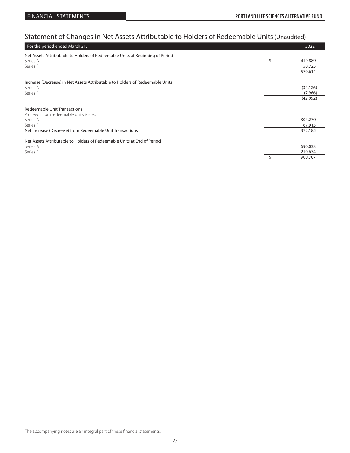# Statement of Changes in Net Assets Attributable to Holders of Redeemable Units (Unaudited)

| For the period ended March 31,                                                |   | 2022      |
|-------------------------------------------------------------------------------|---|-----------|
| Net Assets Attributable to Holders of Redeemable Units at Beginning of Period |   |           |
| Series A                                                                      | Ś | 419,889   |
| Series F                                                                      |   | 150,725   |
|                                                                               |   | 570,614   |
| Increase (Decrease) in Net Assets Attributable to Holders of Redeemable Units |   |           |
| Series A                                                                      |   | (34, 126) |
| Series F                                                                      |   | (7,966)   |
|                                                                               |   | (42,092)  |
|                                                                               |   |           |
| <b>Redeemable Unit Transactions</b>                                           |   |           |
| Proceeds from redeemable units issued                                         |   |           |
| Series A                                                                      |   | 304,270   |
| Series F                                                                      |   | 67,915    |
| Net Increase (Decrease) from Redeemable Unit Transactions                     |   | 372,185   |
| Net Assets Attributable to Holders of Redeemable Units at End of Period       |   |           |
| Series A                                                                      |   | 690,033   |
| Series F                                                                      |   | 210,674   |
|                                                                               |   | 900,707   |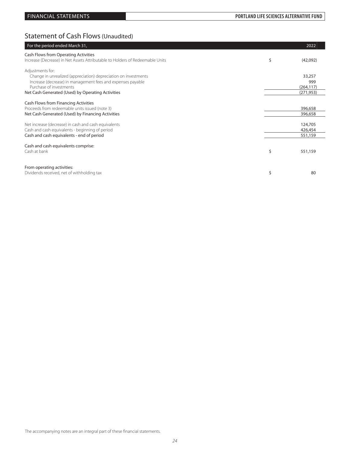## Statement of Cash Flows (Unaudited)

| For the period ended March 31,                                                                                                                                                                                                     | 2022                                      |
|------------------------------------------------------------------------------------------------------------------------------------------------------------------------------------------------------------------------------------|-------------------------------------------|
| Cash Flows from Operating Activities<br>Increase (Decrease) in Net Assets Attributable to Holders of Redeemable Units                                                                                                              | \$<br>(42,092)                            |
| Adjustments for:<br>Change in unrealized (appreciation) depreciation on investments<br>Increase (decrease) in management fees and expenses payable<br>Purchase of investments<br>Net Cash Generated (Used) by Operating Activities | 33,257<br>999<br>(264, 117)<br>(271, 953) |
| Cash Flows from Financing Activities<br>Proceeds from redeemable units issued (note 3)<br>Net Cash Generated (Used) by Financing Activities                                                                                        | 396,658<br>396,658                        |
| Net increase (decrease) in cash and cash equivalents<br>Cash and cash equivalents - beginning of period<br>Cash and cash equivalents - end of period                                                                               | 124,705<br>426,454<br>551,159             |
| Cash and cash equivalents comprise:<br>Cash at bank                                                                                                                                                                                | \$<br>551,159                             |
| From operating activities:<br>Dividends received, net of withholding tax                                                                                                                                                           | \$<br>80                                  |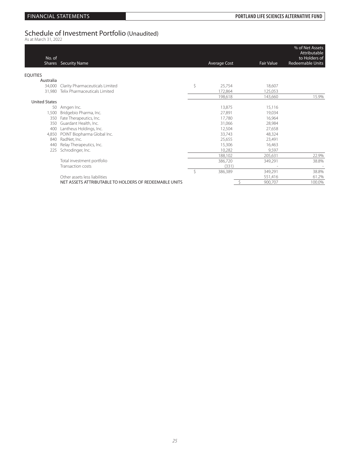# Schedule of Investment Portfolio (Unaudited)<br><sup>As at March 31, 2022</sup>

| No. of               | Shares Security Name                                   |    | <b>Average Cost</b> | Fair Value | % of Net Assets<br>Attributable<br>to Holders of<br><b>Redeemable Units</b> |
|----------------------|--------------------------------------------------------|----|---------------------|------------|-----------------------------------------------------------------------------|
| <b>EQUITIES</b>      |                                                        |    |                     |            |                                                                             |
| Australia            |                                                        |    |                     |            |                                                                             |
| 34,000               | Clarity Pharmaceuticals Limited                        | \$ | 25,754              | 18,607     |                                                                             |
| 31.980               | Telix Pharmaceuticals Limited                          |    | 172,864             | 125,053    |                                                                             |
|                      |                                                        |    | 198,618             | 143,660    | 15.9%                                                                       |
| <b>United States</b> |                                                        |    |                     |            |                                                                             |
| 50                   | Amgen Inc.                                             |    | 13,875              | 15,116     |                                                                             |
| 1,500                | Bridgebio Pharma, Inc.                                 |    | 27,891              | 19,034     |                                                                             |
| 350                  | Fate Therapeutics, Inc.                                |    | 17,780              | 16,964     |                                                                             |
| 350                  | Guardant Health, Inc.                                  |    | 31,066              | 28,984     |                                                                             |
| 400                  | Lantheus Holdings, Inc.                                |    | 12,504              | 27,658     |                                                                             |
| 4,850                | POINT Biopharma Global Inc.                            |    | 33,743              | 48,324     |                                                                             |
| 840                  | RadNet, Inc.                                           |    | 25,655              | 23,491     |                                                                             |
| 440                  | Relay Therapeutics, Inc.                               |    | 15,306              | 16,463     |                                                                             |
| 225                  | Schrodinger, Inc.                                      |    | 10,282              | 9,597      |                                                                             |
|                      |                                                        |    | 188,102             | 205,631    | 22.9%                                                                       |
|                      | Total investment portfolio                             |    | 386,720             | 349,291    | 38.8%                                                                       |
|                      | Transaction costs                                      |    | (331)               |            |                                                                             |
|                      |                                                        | Ŝ  | 386,389             | 349,291    | 38.8%                                                                       |
|                      | Other assets less liabilities                          |    |                     | 551,416    | 61.2%                                                                       |
|                      | NET ASSETS ATTRIBUTABLE TO HOLDERS OF REDEEMABLE UNITS |    |                     | 900,707    | 100.0%                                                                      |
|                      |                                                        |    |                     |            |                                                                             |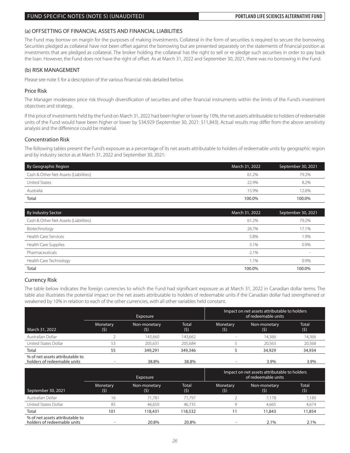### FUND SPECIFIC NOTES (NOTE 5) (UNAUDITED) **PORTLAND LIFE SCIENCES ALTERNATIVE FUND**

### (a) OFFSETTING OF FINANCIAL ASSETS AND FINANCIAL LIABILITIES

The Fund may borrow on margin for the purposes of making investments. Collateral in the form of securities is required to secure the borrowing. Securities pledged as collateral have not been offset against the borrowing but are presented separately on the statements of financial position as investments that are pledged as collateral. The broker holding the collateral has the right to sell or re-pledge such securities in order to pay back the loan. However, the Fund does not have the right of offset. As at March 31, 2022 and September 30, 2021, there was no borrowing in the Fund.

### (b) RISK MANAGEMENT

Please see note 5 for a description of the various financial risks detailed below.

### Price Risk

The Manager moderates price risk through diversification of securities and other financial instruments within the limits of the Fund's investment objectives and strategy.

If the price of investments held by the Fund on March 31, 2022 had been higher or lower by 10%, the net assets attributable to holders of redeemable units of the Fund would have been higher or lower by \$34,929 (September 30, 2021: \$11,843). Actual results may differ from the above sensitivity analysis and the difference could be material.

### Concentration Risk

The following tables present the Fund's exposure as a percentage of its net assets attributable to holders of redeemable units by geographic region and by industry sector as at March 31, 2022 and September 30, 2021:

| By Geographic Region                  | March 31, 2022 | September 30, 2021 |
|---------------------------------------|----------------|--------------------|
| Cash & Other Net Assets (Liabilities) | 61.2%          | 79.2%              |
| United States                         | 22.9%          | 8.2%               |
| Australia                             | 15.9%          | 12.6%              |
| Total                                 | 100.0%         | 100.0%             |

| By Industry Sector                    | March 31, 2022 | September 30, 2021 |
|---------------------------------------|----------------|--------------------|
| Cash & Other Net Assets (Liabilities) | 61.2%          | 79.2%              |
| Biotechnology                         | 26.7%          | 17.1%              |
| <b>Health Care Services</b>           | 5.8%           | 1.9%               |
| Health Care Supplies                  | 3.1%           | 0.9%               |
| Pharmaceuticals                       | 2.1%           |                    |
| Health Care Technology                | 1.1%           | 0.9%               |
| Total                                 | 100.0%         | 100.0%             |

### Currency Risk

The table below indicates the foreign currencies to which the Fund had significant exposure as at March 31, 2022 in Canadian dollar terms. The table also illustrates the potential impact on the net assets attributable to holders of redeemable units if the Canadian dollar had strengthened or weakened by 10% in relation to each of the other currencies, with all other variables held constant.

|                                                                | <b>Exposure</b> |                     |              | Impact on net assets attributable to holders<br>of redeemable units |                     |                     |  |  |
|----------------------------------------------------------------|-----------------|---------------------|--------------|---------------------------------------------------------------------|---------------------|---------------------|--|--|
| March 31, 2022                                                 | Monetary<br>(5) | Non-monetary<br>(5) | Total<br>(5) | Monetary<br>(5)                                                     | Non-monetary<br>(5) | <b>Total</b><br>(5) |  |  |
| Australian Dollar                                              |                 | 143.660             | 143.662      |                                                                     | 14.366              | 14,366              |  |  |
| United States Dollar                                           | 53              | 205.631             | 205.684      |                                                                     | 20.563              | 20.568              |  |  |
| Total                                                          | 55              | 349,291             | 349,346      |                                                                     | 34,929              | 34,934              |  |  |
| % of net assets attributable to<br>holders of redeemable units |                 | 38.8%               | 38.8%        |                                                                     | 3.9%                | 3.9%                |  |  |

| <b>Exposure</b>                                                |                 |                     |              | Impact on net assets attributable to holders<br>of redeemable units |                     |                     |  |
|----------------------------------------------------------------|-----------------|---------------------|--------------|---------------------------------------------------------------------|---------------------|---------------------|--|
| September 30, 2021                                             | Monetary<br>(5) | Non-monetary<br>(5) | Total<br>(5) | Monetary<br>(5)                                                     | Non-monetary<br>(5) | <b>Total</b><br>(5) |  |
| Australian Dollar                                              | 16              | 71.781              | 71.797       |                                                                     | 7.178               | 7,180               |  |
| United States Dollar                                           | 85              | 46.650              | 46.735       |                                                                     | 4.665               | 4,674               |  |
| <b>Total</b>                                                   | 101             | 118,431             | 118,532      |                                                                     | 11,843              | 11,854              |  |
| % of net assets attributable to<br>holders of redeemable units |                 | 20.8%               | 20.8%        |                                                                     | 2.1%                | $2.1\%$             |  |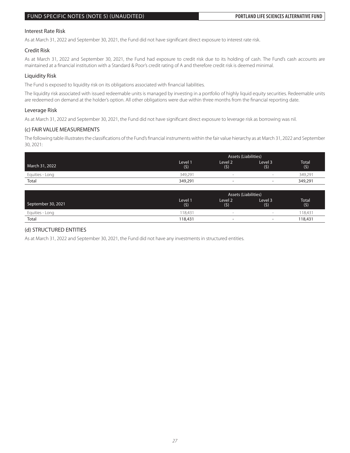### FUND SPECIFIC NOTES (NOTE 5) (UNAUDITED) **PORTLAND LIFE SCIENCES ALTERNATIVE FUND**

### Interest Rate Risk

As at March 31, 2022 and September 30, 2021, the Fund did not have significant direct exposure to interest rate risk.

### Credit Risk

As at March 31, 2022 and September 30, 2021, the Fund had exposure to credit risk due to its holding of cash. The Fund's cash accounts are maintained at a financial institution with a Standard & Poor's credit rating of A and therefore credit risk is deemed minimal.

### Liquidity Risk

The Fund is exposed to liquidity risk on its obligations associated with financial liabilities.

The liquidity risk associated with issued redeemable units is managed by investing in a portfolio of highly liquid equity securities. Redeemable units are redeemed on demand at the holder's option. All other obligations were due within three months from the financial reporting date.

### Leverage Risk

As at March 31, 2022 and September 30, 2021, the Fund did not have significant direct exposure to leverage risk as borrowing was nil.

### (c) FAIR VALUE MEASUREMENTS

The following table illustrates the classifications of the Fund's financial instruments within the fair value hierarchy as at March 31, 2022 and September 30, 2021:

|                 | <b>Assets (Liabilities)</b> |                          |                          |              |  |
|-----------------|-----------------------------|--------------------------|--------------------------|--------------|--|
| March 31, 2022  | Level 1<br>(5)              | Level 2<br>(5)           | Level 3<br>(5)           | Total<br>(5) |  |
| Equities - Long | 349.291                     | $\sim$                   | $\sim$                   | 349,291      |  |
| Total           | 349,291                     | $\overline{\phantom{0}}$ | $\overline{\phantom{0}}$ | 349,291      |  |

|                    | Assets (Liabilities) |                           |                          |                     |  |  |
|--------------------|----------------------|---------------------------|--------------------------|---------------------|--|--|
| September 30, 2021 | Level 1<br>(5)       | Level <sub>2</sub><br>(5) | Level 3<br>(5)           | <b>Total</b><br>(5) |  |  |
| Equities - Long    | 118.431              | $\sim$                    | $\sim$                   | 18.43'              |  |  |
| Total              | 118,431              | -                         | $\overline{\phantom{a}}$ | 118,431             |  |  |

### (d) STRUCTURED ENTITIES

As at March 31, 2022 and September 30, 2021, the Fund did not have any investments in structured entities.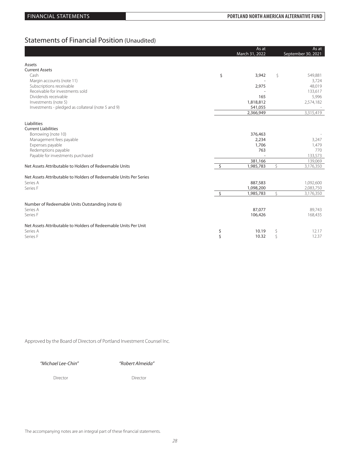## Statements of Financial Position (Unaudited)

|                                                                   |         | As at<br>March 31, 2022 |    | As at<br>September 30, 2021 |
|-------------------------------------------------------------------|---------|-------------------------|----|-----------------------------|
| Assets                                                            |         |                         |    |                             |
| <b>Current Assets</b>                                             |         |                         |    |                             |
| Cash                                                              | \$      | 3,942                   | Ŝ  | 549,881                     |
| Margin accounts (note 11)                                         |         |                         |    | 3,724                       |
| Subscriptions receivable                                          |         | 2,975                   |    | 48,019                      |
| Receivable for investments sold                                   |         |                         |    | 133,617                     |
| Dividends receivable                                              |         | 165                     |    | 5,996                       |
| Investments (note 5)                                              |         | 1,818,812               |    | 2,574,182                   |
| Investments - pledged as collateral (note 5 and 9)                |         | 541,055                 |    |                             |
|                                                                   |         | 2,366,949               |    | 3,315,419                   |
| Liabilities                                                       |         |                         |    |                             |
| <b>Current Liabilities</b>                                        |         |                         |    |                             |
| Borrowing (note 10)                                               |         | 376,463                 |    |                             |
| Management fees payable                                           |         | 2,234                   |    | 3,247                       |
| Expenses payable                                                  |         | 1,706                   |    | 1,479                       |
| Redemptions payable                                               |         | 763                     |    | 770                         |
| Payable for investments purchased                                 |         |                         |    | 133,573                     |
|                                                                   |         | 381,166                 |    | 139,069                     |
| Net Assets Attributable to Holders of Redeemable Units            | Ŝ.      | 1,985,783               | \$ | 3,176,350                   |
|                                                                   |         |                         |    |                             |
| Net Assets Attributable to Holders of Redeemable Units Per Series |         |                         |    |                             |
| Series A                                                          |         | 887,583                 |    | 1,092,600                   |
| Series F                                                          |         | 1,098,200               |    | 2,083,750                   |
|                                                                   | $\zeta$ | 1,985,783               | Ŝ. | 3,176,350                   |
| Number of Redeemable Units Outstanding (note 6)                   |         |                         |    |                             |
| Series A                                                          |         | 87,077                  |    | 89,743                      |
| Series F                                                          |         | 106,426                 |    | 168,435                     |
|                                                                   |         |                         |    |                             |
| Net Assets Attributable to Holders of Redeemable Units Per Unit   |         |                         |    |                             |
| Series A                                                          | \$      | 10.19                   | \$ | 12.17                       |
| Series F                                                          | \$      | 10.32                   | Ŝ  | 12.37                       |
|                                                                   |         |                         |    |                             |

Approved by the Board of Directors of Portland Investment Counsel Inc.

*"Michael Lee-Chin" "Robert Almeida"*

Director Director Director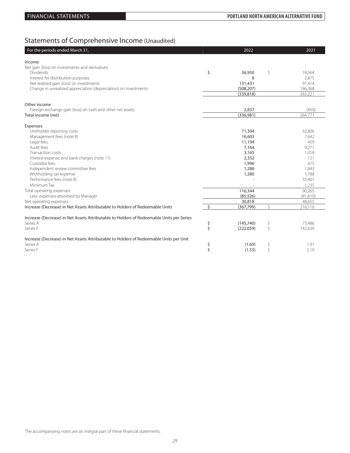# Statements of Comprehensive Income (Unaudited)

| For the periods ended March 31,                                                          |                    | 2022       |    | 2021     |
|------------------------------------------------------------------------------------------|--------------------|------------|----|----------|
| Income                                                                                   |                    |            |    |          |
| Net gain (loss) on investments and derivatives                                           |                    |            |    |          |
| <b>Dividends</b>                                                                         | \$                 | 36,950     | \$ | 18,564   |
| Interest for distribution purposes                                                       |                    | 8          |    | 2,875    |
| Net realized gain (loss) on investments                                                  |                    | 131,431    |    | 97,414   |
| Change in unrealized appreciation (depreciation) on investments                          |                    | (508, 207) |    | 146,368  |
|                                                                                          |                    | (339, 818) |    | 265,221  |
| Other income                                                                             |                    |            |    |          |
| Foreign exchange gain (loss) on cash and other net assets                                |                    | 2,837      |    | (450)    |
| Total income (net)                                                                       |                    | (336,981)  |    | 264,771  |
| Expenses                                                                                 |                    |            |    |          |
| Unitholder reporting costs                                                               |                    | 71,304     |    | 32,806   |
| Management fees (note 8)                                                                 |                    | 16,603     |    | 7,642    |
| Legal fees                                                                               |                    | 11,194     |    | 459      |
| Audit fees                                                                               |                    | 7,164      |    | 9,271    |
| Transaction costs                                                                        |                    | 3,165      |    | 1,018    |
| Interest expense and bank charges (note 11)                                              |                    | 2,352      |    | 121      |
| Custodial fees                                                                           |                    | 1,996      |    | 675      |
| Independent review committee fees                                                        |                    | 1,286      |    | 1,843    |
| Withholding tax expense                                                                  |                    | 1,280      |    | 1,788    |
| Performance fees (note 8)                                                                |                    |            |    | 33,407   |
| Minimum Tax                                                                              |                    |            |    | 1,235    |
| Total operating expenses                                                                 |                    | 116,344    |    | 90,265   |
| Less: expenses absorbed by Manager                                                       |                    | (85, 526)  |    | (41,610) |
| Net operating expenses                                                                   |                    | 30,818     |    | 48,655   |
| Increase (Decrease) in Net Assets Attributable to Holders of Redeemable Units            | $\mathsf{\dot{S}}$ | (367, 799) | Ś  | 216,116  |
| Increase (Decrease) in Net Assets Attributable to Holders of Redeemable Units per Series |                    |            |    |          |
| Series A                                                                                 | \$                 | (145.740)  | \$ | 73,486   |
| Series F                                                                                 | $\dot{\mathsf{S}}$ | (222,059)  | \$ | 142,630  |
| Increase (Decrease) in Net Assets Attributable to Holders of Redeemable Units per Unit   |                    |            |    |          |
| Series A                                                                                 | \$                 | (1.69)     | \$ | 1.91     |
| Series F                                                                                 | \$                 | (1.53)     | \$ | 2.10     |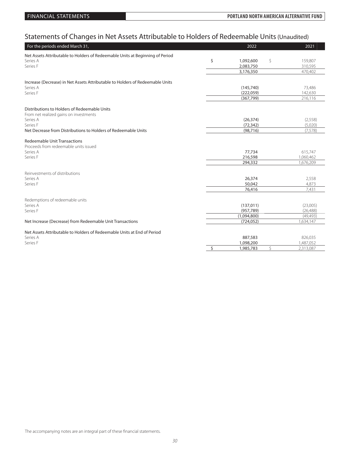# Statements of Changes in Net Assets Attributable to Holders of Redeemable Units (Unaudited)

| For the periods ended March 31,                                               | 2022            | 2021            |
|-------------------------------------------------------------------------------|-----------------|-----------------|
| Net Assets Attributable to Holders of Redeemable Units at Beginning of Period |                 |                 |
| Series A                                                                      | \$<br>1,092,600 | \$<br>159,807   |
| Series F                                                                      | 2,083,750       | 310,595         |
|                                                                               | 3,176,350       | 470,402         |
|                                                                               |                 |                 |
| Increase (Decrease) in Net Assets Attributable to Holders of Redeemable Units |                 |                 |
| Series A                                                                      | (145, 740)      | 73,486          |
| Series F                                                                      | (222,059)       | 142,630         |
|                                                                               | (367, 799)      | 216,116         |
|                                                                               |                 |                 |
| Distributions to Holders of Redeemable Units                                  |                 |                 |
| From net realized gains on investments                                        |                 |                 |
| Series A                                                                      | (26, 374)       | (2,558)         |
| Series F                                                                      | (72, 342)       | (5,020)         |
| Net Decrease from Distributions to Holders of Redeemable Units                | (98, 716)       | (7, 578)        |
|                                                                               |                 |                 |
| <b>Redeemable Unit Transactions</b>                                           |                 |                 |
| Proceeds from redeemable units issued                                         |                 |                 |
| Series A                                                                      | 77,734          | 615,747         |
| Series F                                                                      | 216,598         | 1,060,462       |
|                                                                               | 294,332         | 1,676,209       |
| Reinvestments of distributions                                                |                 |                 |
| Series A                                                                      | 26,374          |                 |
| Series F                                                                      | 50,042          | 2,558<br>4.873  |
|                                                                               | 76,416          | 7,431           |
|                                                                               |                 |                 |
| Redemptions of redeemable units                                               |                 |                 |
| Series A                                                                      | (137, 011)      | (23,005)        |
| Series F                                                                      | (957, 789)      | (26, 488)       |
|                                                                               | (1,094,800)     | (49, 493)       |
| Net Increase (Decrease) from Redeemable Unit Transactions                     | (724, 052)      | 1,634,147       |
|                                                                               |                 |                 |
| Net Assets Attributable to Holders of Redeemable Units at End of Period       |                 |                 |
| Series A                                                                      | 887,583         | 826,035         |
| Series F                                                                      | 1,098,200       | 1,487,052       |
|                                                                               | \$<br>1,985,783 | \$<br>2,313,087 |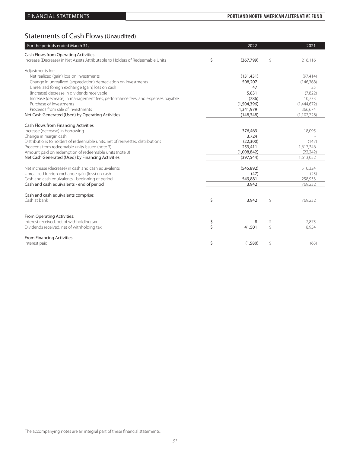## FINANCIAL STATEMENTS **PORTLAND NORTH AMERICAN ALTERNATIVE FUND**

# Statements of Cash Flows (Unaudited)

| For the periods ended March 31,                                                                    | 2022            |    | 2021            |
|----------------------------------------------------------------------------------------------------|-----------------|----|-----------------|
| Cash Flows from Operating Activities                                                               |                 |    |                 |
| Increase (Decrease) in Net Assets Attributable to Holders of Redeemable Units                      | \$<br>(367,799) | \$ | 216,116         |
| Adjustments for:                                                                                   |                 |    |                 |
| Net realized (gain) loss on investments                                                            | (131, 431)      |    | (97, 414)       |
| Change in unrealized (appreciation) depreciation on investments                                    | 508,207         |    | (146, 368)      |
| Unrealized foreign exchange (gain) loss on cash                                                    | 47              |    | 25              |
| (Increase) decrease in dividends receivable                                                        | 5,831           |    | (7,822)         |
| Increase (decrease) in management fees, performance fees, and expenses payable                     | (786)           |    | 10,733          |
| Purchase of investments                                                                            | (1,504,396)     |    | (1,444,672)     |
| Proceeds from sale of investments                                                                  | 1,341,979       |    | 366,674         |
| Net Cash Generated (Used) by Operating Activities                                                  | (148, 348)      |    | (1,102,728)     |
| Cash Flows from Financing Activities                                                               |                 |    |                 |
| Increase (decrease) in borrowing                                                                   | 376,463         |    | 18,095          |
| Change in margin cash                                                                              | 3,724           |    |                 |
| Distributions to holders of redeemable units, net of reinvested distributions                      | (22, 300)       |    | (147)           |
| Proceeds from redeemable units issued (note 3)                                                     | 253,411         |    | 1,617,346       |
| Amount paid on redemption of redeemable units (note 3)                                             | (1,008,842)     |    | (22, 242)       |
| Net Cash Generated (Used) by Financing Activities                                                  | (397, 544)      |    | 1,613,052       |
|                                                                                                    |                 |    |                 |
| Net increase (decrease) in cash and cash equivalents                                               | (545, 892)      |    | 510,324         |
| Unrealized foreign exchange gain (loss) on cash<br>Cash and cash equivalents - beginning of period | (47)<br>549,881 |    | (25)<br>258,933 |
| Cash and cash equivalents - end of period                                                          | 3,942           |    | 769,232         |
|                                                                                                    |                 |    |                 |
| Cash and cash equivalents comprise:                                                                |                 |    |                 |
| Cash at bank                                                                                       | \$<br>3,942     | \$ | 769,232         |
|                                                                                                    |                 |    |                 |
|                                                                                                    |                 |    |                 |
| From Operating Activities:<br>Interest received, net of withholding tax                            | \$<br>8         | \$ | 2.875           |
| Dividends received, net of withholding tax                                                         | \$<br>41,501    | Ŝ  | 8,954           |
|                                                                                                    |                 |    |                 |
| From Financing Activities:                                                                         |                 |    |                 |
| Interest paid                                                                                      | \$<br>(1,580)   | \$ | (63)            |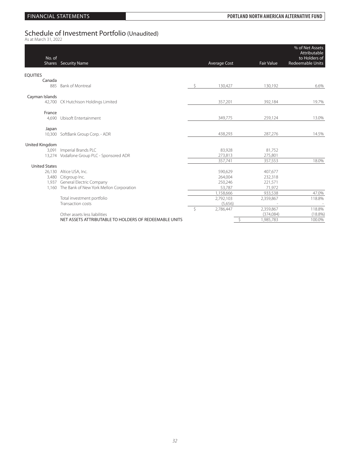# Schedule of Investment Portfolio (Unaudited)<br><sup>As at March 31, 2022</sup>

| No. of               | <b>Shares</b> Security Name                            |    | <b>Average Cost</b> | <b>Fair Value</b> | % of Net Assets<br>Attributable<br>to Holders of<br>Redeemable Units |
|----------------------|--------------------------------------------------------|----|---------------------|-------------------|----------------------------------------------------------------------|
| <b>EQUITIES</b>      |                                                        |    |                     |                   |                                                                      |
| Canada               |                                                        |    |                     |                   |                                                                      |
|                      | 885 Bank of Montreal                                   | Ŝ. | 130,427             | 130,192           | 6.6%                                                                 |
| Cayman Islands       |                                                        |    |                     |                   |                                                                      |
|                      | 42,700 CK Hutchison Holdings Limited                   |    | 357,201             | 392,184           | 19.7%                                                                |
| France               |                                                        |    |                     |                   |                                                                      |
|                      | 4,690 Ubisoft Entertainment                            |    | 349,775             | 259,124           | 13.0%                                                                |
| Japan                |                                                        |    |                     |                   |                                                                      |
|                      | 10,300 SoftBank Group Corp. - ADR                      |    | 438,293             | 287,276           | 14.5%                                                                |
| United Kingdom       |                                                        |    |                     |                   |                                                                      |
|                      | 3,091 Imperial Brands PLC                              |    | 83,928              | 81,752            |                                                                      |
|                      | 13,274 Vodafone Group PLC - Sponsored ADR              |    | 273,813             | 275,801           |                                                                      |
|                      |                                                        |    | 357,741             | 357,553           | 18.0%                                                                |
| <b>United States</b> |                                                        |    |                     |                   |                                                                      |
|                      | 26,130 Altice USA, Inc.                                |    | 590,629             | 407,677           |                                                                      |
|                      | 3,480 Citigroup Inc.                                   |    | 264,004             | 232,318           |                                                                      |
|                      | 1,937 General Electric Company                         |    | 250,246             | 221,571           |                                                                      |
|                      | 1,160 The Bank of New York Mellon Corporation          |    | 53,787              | 71.972            |                                                                      |
|                      |                                                        |    | 1,158,666           | 933,538           | 47.0%                                                                |
|                      | Total investment portfolio                             |    | 2,792,103           | 2,359,867         | 118.8%                                                               |
|                      | Transaction costs                                      |    | (5,656)             | $\sim$            |                                                                      |
|                      |                                                        | Ŝ  | 2.786.447           | 2,359,867         | 118.8%                                                               |
|                      | Other assets less liabilities                          |    |                     | (374,084)         | $(18.8\%)$                                                           |
|                      | NET ASSETS ATTRIBUTABLE TO HOLDERS OF REDEEMABLE UNITS |    |                     | \$<br>1,985,783   | 100.0%                                                               |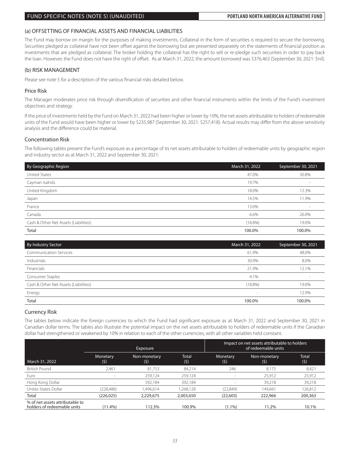### FUND SPECIFIC NOTES (NOTE 5) (UNAUDITED) **PORTLAND NORTH AMERICAN ALTERNATIVE FUND**

### (a) OFFSETTING OF FINANCIAL ASSETS AND FINANCIAL LIABILITIES

The Fund may borrow on margin for the purposes of making investments. Collateral in the form of securities is required to secure the borrowing. Securities pledged as collateral have not been offset against the borrowing but are presented separately on the statements of financial position as investments that are pledged as collateral. The broker holding the collateral has the right to sell or re-pledge such securities in order to pay back the loan. However, the Fund does not have the right of offset. As at March 31, 2022, the amount borrowed was \$376,463 (September 30, 2021: \$nil).

### (b) RISK MANAGEMENT

Please see note 5 for a description of the various financial risks detailed below.

### Price Risk

The Manager moderates price risk through diversification of securities and other financial instruments within the limits of the Fund's investment objectives and strategy.

If the price of investments held by the Fund on March 31, 2022 had been higher or lower by 10%, the net assets attributable to holders of redeemable units of the Fund would have been higher or lower by \$235,987 (September 30, 2021: \$257,418). Actual results may differ from the above sensitivity analysis and the difference could be material.

### Concentration Risk

The following tables present the Fund's exposure as a percentage of its net assets attributable to holders of redeemable units by geographic region and industry sector as at March 31, 2022 and September 30, 2021:

| By Geographic Region                  | March 31, 2022 | September 30, 2021 |
|---------------------------------------|----------------|--------------------|
| United States                         | 47.0%          | 30.8%              |
| Cayman Isalnds                        | 19.7%          | $\sim$             |
| United Kingdom                        | 18.0%          | 12.3%              |
| Japan                                 | 14.5%          | 11.9%              |
| France                                | 13.0%          | $\sim$             |
| Canada                                | 6.6%           | 26.0%              |
| Cash & Other Net Assets (Liabilities) | $(18.8\%)$     | 19.0%              |
| Total                                 | 100.0%         | 100.0%             |

| By Industry Sector                    | March 31, 2022 | September 30, 2021 |
|---------------------------------------|----------------|--------------------|
| <b>Communication Services</b>         | 61.9%          | 48.0%              |
| Industrials                           | 30.9%          | 8.0%               |
| Financials                            | 21.9%          | 12.1%              |
| Consumer Staples                      | 4.1%           | $\sim$             |
| Cash & Other Net Assets (Liabilities) | $(18.8\%)$     | 19.0%              |
| Energy                                | $\sim$         | 12.9%              |
| Total                                 | 100.0%         | 100.0%             |

### Currency Risk

The tables below indicate the foreign currencies to which the Fund had significant exposure as at March 31, 2022 and September 30, 2021 in Canadian dollar terms. The tables also illustrate the potential impact on the net assets attributable to holders of redeemable units if the Canadian dollar had strengthened or weakened by 10% in relation to each of the other currencies, with all other variables held constant.

|                                                                | Exposure                 |                     | Impact on net assets attributable to holders<br>of redeemable units |                 |                     |              |
|----------------------------------------------------------------|--------------------------|---------------------|---------------------------------------------------------------------|-----------------|---------------------|--------------|
| March 31, 2022                                                 | Monetary<br>(\$)         | Non-monetary<br>(5) | Total<br>(5)                                                        | Monetary<br>(5) | Non-monetary<br>(5) | Total<br>(5) |
| <b>British Pound</b>                                           | 2,461                    | 81,753              | 84.214                                                              | 246             | 8,175               | 8,421        |
| Euro                                                           | $\overline{\phantom{a}}$ | 259,124             | 259,124                                                             |                 | 25,912              | 25,912       |
| Hong Kong Dollar                                               |                          | 392,184             | 392,184                                                             |                 | 39.218              | 39,218       |
| Unites States Dollar                                           | (228, 486)               | 1,496,614           | ,268,128                                                            | (22,849)        | 149.661             | 126,812      |
| Total                                                          | (226, 025)               | 2,229,675           | 2,003,650                                                           | (22,603)        | 222,966             | 200,363      |
| % of net assets attributable to<br>holders of redeemable units | $(11.4\%)$               | 112.3%              | 100.9%                                                              | $(1.1\%)$       | 11.2%               | 10.1%        |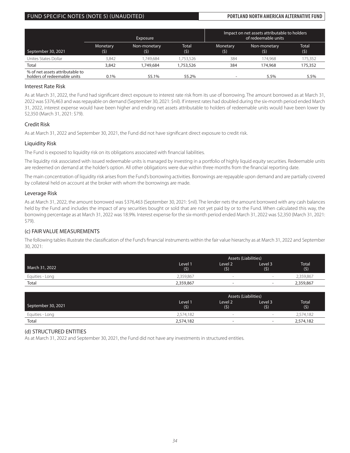### FUND SPECIFIC NOTES (NOTE 5) (UNAUDITED) **PORTLAND NORTH AMERICAN ALTERNATIVE FUND**

|                                                                | <b>Exposure</b>  |                     |                     |                 | Impact on net assets attributable to holders<br>of redeemable units |              |
|----------------------------------------------------------------|------------------|---------------------|---------------------|-----------------|---------------------------------------------------------------------|--------------|
| September 30, 2021                                             | Monetary<br>(\$) | Non-monetary<br>(5) | <b>Total</b><br>(5) | Monetary<br>(5) | Non-monetary<br>(5)                                                 | Total<br>(5) |
| Unites States Dollar                                           | 3.842            | .749.684            | .753.526            | 384             | 174.968                                                             | 175,352      |
| Total                                                          | 3,842            | 1,749,684           | 1,753,526           | 384             | 174,968                                                             | 175,352      |
| % of net assets attributable to<br>holders of redeemable units | 0.1%             | 55.1%               | 55.2%               |                 | 5.5%                                                                | 5.5%         |

### Interest Rate Risk

As at March 31, 2022, the Fund had significant direct exposure to interest rate risk from its use of borrowing. The amount borrowed as at March 31, 2022 was \$376,463 and was repayable on demand (September 30, 2021: \$nil). If interest rates had doubled during the six-month period ended March 31, 2022, interest expense would have been higher and ending net assets attributable to holders of redeemable units would have been lower by \$2,350 (March 31, 2021: \$79).

### Credit Risk

As at March 31, 2022 and September 30, 2021, the Fund did not have significant direct exposure to credit risk.

### Liquidity Risk

The Fund is exposed to liquidity risk on its obligations associated with financial liabilities.

The liquidity risk associated with issued redeemable units is managed by investing in a portfolio of highly liquid equity securities. Redeemable units are redeemed on demand at the holder's option. All other obligations were due within three months from the financial reporting date.

The main concentration of liquidity risk arises from the Fund's borrowing activities. Borrowings are repayable upon demand and are partially covered by collateral held on account at the broker with whom the borrowings are made.

### Leverage Risk

As at March 31, 2022, the amount borrowed was \$376,463 (September 30, 2021: \$nil). The lender nets the amount borrowed with any cash balances held by the Fund and includes the impact of any securities bought or sold that are not yet paid by or to the Fund. When calculated this way, the borrowing percentage as at March 31, 2022 was 18.9%. Interest expense for the six-month period ended March 31, 2022 was \$2,350 (March 31, 2021: \$79).

### (c) FAIR VALUE MEASUREMENTS

The following tables illustrate the classification of the Fund's financial instruments within the fair value hierarchy as at March 31, 2022 and September 30, 2021:

|                 |                | <b>Assets (Liabilities)</b> |                          |                     |  |  |
|-----------------|----------------|-----------------------------|--------------------------|---------------------|--|--|
| March 31, 2022  | Level 1<br>(5) | Level 2<br>(5)              | Level 3<br>(5)           | <b>Total</b><br>(5) |  |  |
| Equities - Long | 2.359.867      | $\sim$                      | -                        | 2,359,867           |  |  |
| Total           | 2,359,867      | $\overline{\phantom{a}}$    | $\overline{\phantom{0}}$ | 2,359,867           |  |  |

|                    | <b>Assets (Liabilities)</b> |                           |                |                     |  |  |
|--------------------|-----------------------------|---------------------------|----------------|---------------------|--|--|
| September 30, 2021 | <b>Level</b> 1<br>(5)       | Level <sub>2</sub><br>(5) | Level 3<br>(5) | <b>Total</b><br>(5) |  |  |
| Equities - Long    | 2,574,182                   | $\sim$                    | -              | 2,574,182           |  |  |
| Total              | 2,574,182                   | $\overline{\phantom{a}}$  | $\sim$         | 2,574,182           |  |  |

### (d) STRUCTURED ENTITIES

As at March 31, 2022 and September 30, 2021, the Fund did not have any investments in structured entities.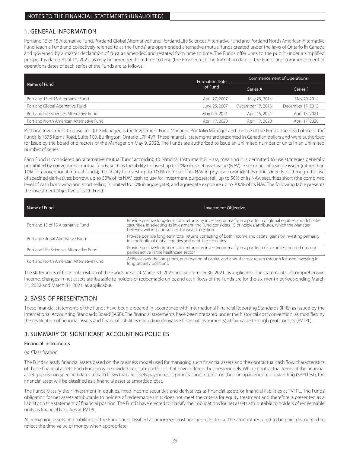## 1. GENERAL INFORMATION

Portland 15 of 15 Alternative Fund, Portland Global Alternative Fund, Portland Life Sciences Alternative Fund and Portland North American Alternative Fund (each a Fund and collectively referred to as the Funds) are open-ended alternative mutual funds created under the laws of Ontario in Canada and governed by a master declaration of trust as amended and restated from time to time. The Funds offer units to the public under a simplified prospectus dated April 11, 2022, as may be amended from time to time (the Prospectus). The formation date of the Funds and commencement of operations dates of each series of the Funds are as follows:

|                                          | <b>Formation Date</b> | <b>Commencement of Operations</b> |                   |  |
|------------------------------------------|-----------------------|-----------------------------------|-------------------|--|
| Name of Fund                             | of Fund               | Series A                          | Series F          |  |
| Portland 15 of 15 Alternative Fund       | April 27, 2007        | May 29, 2014                      | May 29, 2014      |  |
| Portland Global Alternative Fund         | June 25, 2007         | December 17, 2013                 | December 17, 2013 |  |
| Portland Life Sciences Alternative Fund  | March 4, 2021         | April 15, 2021                    | April 15, 2021    |  |
| Portland North American Alternative Fund | April 17, 2020        | April 17, 2020                    | April 17, 2020    |  |

Portland Investment Counsel Inc. (the Manager) is the Investment Fund Manager, Portfolio Manager and Trustee of the Funds. The head office of the Funds is 1375 Kerns Road, Suite 100, Burlington, Ontario L7P 4V7. These financial statements are presented in Canadian dollars and were authorized for issue by the board of directors of the Manager on May 9, 2022. The Funds are authorized to issue an unlimited number of units in an unlimited number of series.

Each Fund is considered an "alternative mutual fund" according to National Instrument 81-102, meaning it is permitted to use strategies generally prohibited by conventional mutual funds, such as the ability to invest up to 20% of its net asset value (NAV) in securities of a single issuer (rather than 10% for conventional mutual funds); the ability to invest up to 100% or more of its NAV in physical commodities either directly or through the use of specified derivatives; borrow, up to 50% of its NAV, cash to use for investment purposes; sell, up to 50% of its NAV, securities short (the combined level of cash borrowing and short selling is limited to 50% in aggregate); and aggregate exposure up to 300% of its NAV. The following table presents the investment objective of each Fund.

| Name of Fund                             | <b>Investment Objective</b>                                                                                                                                                                                                                                                        |
|------------------------------------------|------------------------------------------------------------------------------------------------------------------------------------------------------------------------------------------------------------------------------------------------------------------------------------|
| Portland 15 of 15 Alternative Fund       | Provide positive long-term total returns by investing primarily in a portfolio of global equities and debt-like<br>securities. In selecting its investment, the Fund considers 15 principles/attributes, which the Manager<br>believes, will result in successful wealth creation. |
| Portland Global Alternative Fund         | Provide positive long-term total returns consisting of both income and capital gains by investing primarily<br>in a portfolio of global equities and debt-like securities.                                                                                                         |
| Portland Life Sciences Alternative Fund  | Provide positive long-term total returns by investing primarily in a portfolio of securities focused on com-<br>panies active in the healthcare sector.                                                                                                                            |
| Portland North American Alternative Fund | Achieve, over the long-term, preservation of capital and a satisfactory return through focused investing in<br>long security positions.                                                                                                                                            |

The statements of financial position of the Funds are as at March 31, 2022 and September 30, 2021, as applicable. The statements of comprehensive income, changes in net assets attributable to holders of redeemable units, and cash flows of the Funds are for the six-month periods ending March 31, 2022 and March 31, 2021, as applicable.

## 2. BASIS OF PRESENTATION

These financial statements of the Funds have been prepared in accordance with International Financial Reporting Standards (IFRS) as issued by the International Accounting Standards Board (IASB). The financial statements have been prepared under the historical cost convention, as modified by the revaluation of financial assets and financial liabilities (including derivative financial instruments) at fair value through profit or loss (FVTPL).

## 3. SUMMARY OF SIGNIFICANT ACCOUNTING POLICIES

### Financial instruments

### (a) Classification

The Funds classify financial assets based on the business model used for managing such financial assets and the contractual cash flow characteristics of those financial assets. Each Fund may be divided into sub-portfolios that have different business models. Where contractual terms of the financial asset give rise on specified dates to cash flows that are solely payments of principal and interest on the principal amount outstanding (SPPI test), the financial asset will be classified as a financial asset at amortized cost.

The Funds classify their investment in equities, fixed income securities and derivatives as financial assets or financial liabilities at FVTPL. The Funds' obligation for net assets attributable to holders of redeemable units does not meet the criteria for equity treatment and therefore is presented as a liability on the statement of financial position. The Funds have elected to classify their obligations for net assets attributable to holders of redeemable units as financial liabilities at FVTPL.

All remaining assets and liabilities of the Funds are classified as amortized cost and are reflected at the amount required to be paid, discounted to reflect the time value of money when appropriate.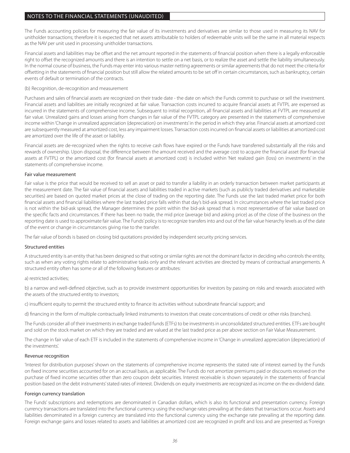The Funds accounting policies for measuring the fair value of its investments and derivatives are similar to those used in measuring its NAV for unitholder transactions; therefore it is expected that net assets attributable to holders of redeemable units will be the same in all material respects as the NAV per unit used in processing unitholder transactions.

Financial assets and liabilities may be offset and the net amount reported in the statements of financial position when there is a legally enforceable right to offset the recognized amounts and there is an intention to settle on a net basis, or to realize the asset and settle the liability simultaneously. In the normal course of business, the Funds may enter into various master netting agreements or similar agreements that do not meet the criteria for offsetting in the statements of financial position but still allow the related amounts to be set off in certain circumstances, such as bankruptcy, certain events of default or termination of the contracts.

### (b) Recognition, de-recognition and measurement

Purchases and sales of financial assets are recognized on their trade date - the date on which the Funds commit to purchase or sell the investment. Financial assets and liabilities are initially recognized at fair value. Transaction costs incurred to acquire financial assets at FVTPL are expensed as incurred in the statements of comprehensive income. Subsequent to initial recognition, all financial assets and liabilities at FVTPL are measured at fair value. Unrealized gains and losses arising from changes in fair value of the FVTPL category are presented in the statements of comprehensive income within 'Change in unrealized appreciation (depreciation) on investments' in the period in which they arise. Financial assets at amortized cost are subsequently measured at amortized cost, less any impairment losses. Transaction costs incurred on financial assets or liabilities at amortized cost are amortized over the life of the asset or liability.

Financial assets are de-recognized when the rights to receive cash flows have expired or the Funds have transferred substantially all the risks and rewards of ownership. Upon disposal, the difference between the amount received and the average cost to acquire the financial asset (for financial assets at FVTPL) or the amortized cost (for financial assets at amortized cost) is included within 'Net realized gain (loss) on investments' in the statements of comprehensive income.

### Fair value measurement

Fair value is the price that would be received to sell an asset or paid to transfer a liability in an orderly transaction between market participants at the measurement date. The fair value of financial assets and liabilities traded in active markets (such as publicly traded derivatives and marketable securities) are based on quoted market prices at the close of trading on the reporting date. The Funds use the last traded market price for both financial assets and financial liabilities where the last traded price falls within that day's bid-ask spread. In circumstances where the last traded price is not within the bid-ask spread, the Manager determines the point within the bid-ask spread that is most representative of fair value based on the specific facts and circumstances. If there has been no trade, the mid price (average bid and asking price) as of the close of the business on the reporting date is used to approximate fair value. The Funds' policy is to recognize transfers into and out of the fair value hierarchy levels as of the date of the event or change in circumstances giving rise to the transfer.

The fair value of bonds is based on closing bid quotations provided by independent security pricing services.

### Structured entities

A structured entity is an entity that has been designed so that voting or similar rights are not the dominant factor in deciding who controls the entity, such as when any voting rights relate to administrative tasks only and the relevant activities are directed by means of contractual arrangements. A structured entity often has some or all of the following features or attributes:

### a) restricted activities;

b) a narrow and well-defined objective, such as to provide investment opportunities for investors by passing on risks and rewards associated with the assets of the structured entity to investors;

c) insufficient equity to permit the structured entity to finance its activities without subordinate financial support; and

d) financing in the form of multiple contractually linked instruments to investors that create concentrations of credit or other risks (tranches).

The Funds consider all of their investments in exchange traded funds (ETFs) to be investments in unconsolidated structured entities. ETFs are bought and sold on the stock market on which they are traded and are valued at the last traded price as per above section on Fair Value Measurement.

The change in fair value of each ETF is included in the statements of comprehensive income in 'Change in unrealized appreciation (depreciation) of the investments'.

### Revenue recognition

'Interest for distribution purposes' shown on the statements of comprehensive income represents the stated rate of interest earned by the Funds on fixed income securities accounted for on an accrual basis, as applicable. The Funds do not amortize premiums paid or discounts received on the purchase of fixed income securities other than zero coupon debt securities. Interest receivable is shown separately in the statements of financial position based on the debt instruments' stated rates of interest. Dividends on equity investments are recognized as income on the ex-dividend date.

### Foreign currency translation

The Funds' subscriptions and redemptions are denominated in Canadian dollars, which is also its functional and presentation currency. Foreign currency transactions are translated into the functional currency using the exchange rates prevailing at the dates that transactions occur. Assets and liabilities denominated in a foreign currency are translated into the functional currency using the exchange rate prevailing at the reporting date. Foreign exchange gains and losses related to assets and liabilities at amortized cost are recognized in profit and loss and are presented as 'Foreign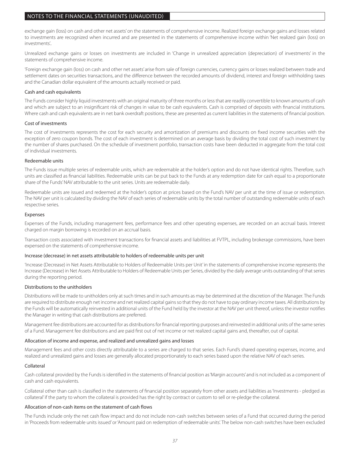exchange gain (loss) on cash and other net assets' on the statements of comprehensive income. Realized foreign exchange gains and losses related to investments are recognized when incurred and are presented in the statements of comprehensive income within 'Net realized gain (loss) on investments'..

Unrealized exchange gains or losses on investments are included in 'Change in unrealized appreciation (depreciation) of investments' in the statements of comprehensive income.

'Foreign exchange gain (loss) on cash and other net assets' arise from sale of foreign currencies, currency gains or losses realized between trade and settlement dates on securities transactions, and the difference between the recorded amounts of dividend, interest and foreign withholding taxes and the Canadian dollar equivalent of the amounts actually received or paid.

### Cash and cash equivalents

The Funds consider highly liquid investments with an original maturity of three months or less that are readily convertible to known amounts of cash and which are subject to an insignificant risk of changes in value to be cash equivalents. Cash is comprised of deposits with financial institutions. Where cash and cash equivalents are in net bank overdraft positions, these are presented as current liabilities in the statements of financial position.

### Cost of investments

The cost of investments represents the cost for each security and amortization of premiums and discounts on fixed income securities with the exception of zero coupon bonds. The cost of each investment is determined on an average basis by dividing the total cost of such investment by the number of shares purchased. On the schedule of investment portfolio, transaction costs have been deducted in aggregate from the total cost of individual investments.

### Redeemable units

The Funds issue multiple series of redeemable units, which are redeemable at the holder's option and do not have identical rights. Therefore, such units are classified as financial liabilities. Redeemable units can be put back to the Funds at any redemption date for cash equal to a proportionate share of the Funds' NAV attributable to the unit series. Units are redeemable daily.

Redeemable units are issued and redeemed at the holder's option at prices based on the Fund's NAV per unit at the time of issue or redemption. The NAV per unit is calculated by dividing the NAV of each series of redeemable units by the total number of outstanding redeemable units of each respective series.

### Expenses

Expenses of the Funds, including management fees, performance fees and other operating expenses, are recorded on an accrual basis. Interest charged on margin borrowing is recorded on an accrual basis.

Transaction costs associated with investment transactions for financial assets and liabilities at FVTPL, including brokerage commissions, have been expensed on the statements of comprehensive income.

### Increase (decrease) in net assets attributable to holders of redeemable units per unit

'Increase (Decrease) in Net Assets Attributable to Holders of Redeemable Units per Unit' in the statements of comprehensive income represents the Increase (Decrease) in Net Assets Attributable to Holders of Redeemable Units per Series, divided by the daily average units outstanding of that series during the reporting period.

### Distributions to the unitholders

Distributions will be made to unitholders only at such times and in such amounts as may be determined at the discretion of the Manager. The Funds are required to distribute enough net income and net realized capital gains so that they do not have to pay ordinary income taxes. All distributions by the Funds will be automatically reinvested in additional units of the Fund held by the investor at the NAV per unit thereof, unless the investor notifies the Manager in writing that cash distributions are preferred.

Management fee distributions are accounted for as distributions for financial reporting purposes and reinvested in additional units of the same series of a Fund. Management fee distributions and are paid first out of net income or net realized capital gains and, thereafter, out of capital.

### Allocation of income and expense, and realized and unrealized gains and losses

Management fees and other costs directly attributable to a series are charged to that series. Each Fund's shared operating expenses, income, and realized and unrealized gains and losses are generally allocated proportionately to each series based upon the relative NAV of each series.

### Collateral

Cash collateral provided by the Funds is identified in the statements of financial position as 'Margin accounts' and is not included as a component of cash and cash equivalents.

Collateral other than cash is classified in the statements of financial position separately from other assets and liabilities as 'Investments - pledged as collateral' if the party to whom the collateral is provided has the right by contract or custom to sell or re-pledge the collateral.

### Allocation of non-cash items on the statement of cash flows

The Funds include only the net cash flow impact and do not include non-cash switches between series of a Fund that occurred during the period in 'Proceeds from redeemable units issued' or 'Amount paid on redemption of redeemable units'. The below non-cash switches have been excluded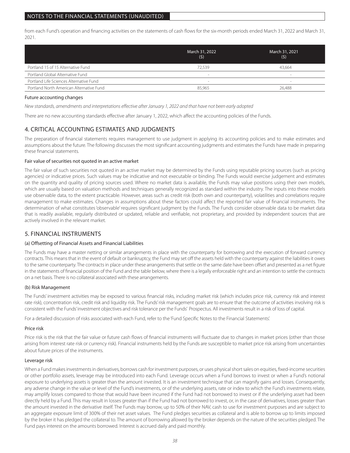from each Fund's operation and financing activities on the statements of cash flows for the six-month periods ended March 31, 2022 and March 31, 2021.

|                                          | March 31, 2022<br>(5) | March 31, 2021<br>(5) |
|------------------------------------------|-----------------------|-----------------------|
| Portland 15 of 15 Alternative Fund       | 72.539                | 43.664                |
| Portland Global Alternative Fund         | $\,$                  | $\sim$                |
| Portland Life Sciences Alternative Fund  | $\sim$                | $\sim$                |
| Portland North American Alternative Fund | 85.965                | 26.488                |

### Future accounting changes

*New standards, amendments and interpretations effective after January 1, 2022 and that have not been early adopted*

There are no new accounting standards effective after January 1, 2022, which affect the accounting policies of the Funds.

## 4. CRITICAL ACCOUNTING ESTIMATES AND JUDGMENTS

The preparation of financial statements requires management to use judgment in applying its accounting policies and to make estimates and assumptions about the future. The following discusses the most significant accounting judgments and estimates the Funds have made in preparing these financial statements.

### Fair value of securities not quoted in an active market

The fair value of such securities not quoted in an active market may be determined by the Funds using reputable pricing sources (such as pricing agencies) or indicative prices. Such values may be indicative and not executable or binding. The Funds would exercise judgement and estimates on the quantity and quality of pricing sources used. Where no market data is available, the Funds may value positions using their own models, which are usually based on valuation methods and techniques generally recognized as standard within the industry. The inputs into these models use observable data, to the extent practicable. However, areas such as credit risk (both own and counterparty), volatilities and correlations require management to make estimates. Changes in assumptions about these factors could affect the reported fair value of financial instruments. The determination of what constitutes 'observable' requires significant judgment by the Funds. The Funds consider observable data to be market data that is readily available, regularly distributed or updated, reliable and verifiable, not proprietary, and provided by independent sources that are actively involved in the relevant market.

### 5. FINANCIAL INSTRUMENTS

### (a) Offsetting of Financial Assets and Financial Liabilities

The Funds may have a master netting or similar arrangements in place with the counterparty for borrowing and the execution of forward currency contracts. This means that in the event of default or bankruptcy, the Fund may set off the assets held with the counterparty against the liabilities it owes to the same counterparty. The contracts in place under these arrangements that settle on the same date have been offset and presented as a net figure in the statements of financial position of the Fund and the table below, where there is a legally enforceable right and an intention to settle the contracts on a net basis. There is no collateral associated with these arrangements.

### (b) Risk Management

The Funds' investment activities may be exposed to various financial risks, including market risk (which includes price risk, currency risk and interest rate risk), concentration risk, credit risk and liquidity risk. The Funds' risk management goals are to ensure that the outcome of activities involving risk is consistent with the Funds' investment objectives and risk tolerance per the Funds' Prospectus. All investments result in a risk of loss of capital.

For a detailed discussion of risks associated with each Fund, refer to the 'Fund Specific Notes to the Financial Statements'.

### Price risk

Price risk is the risk that the fair value or future cash flows of financial instruments will fluctuate due to changes in market prices (other than those arising from interest rate risk or currency risk). Financial instruments held by the Funds are susceptible to market price risk arising from uncertainties about future prices of the instruments.

### Leverage risk

When a Fund makes investments in derivatives, borrows cash for investment purposes, or uses physical short sales on equities, fixed-income securities or other portfolio assets, leverage may be introduced into each Fund. Leverage occurs when a Fund borrows to invest or when a Fund's notional exposure to underlying assets is greater than the amount invested. It is an investment technique that can magnify gains and losses. Consequently, any adverse change in the value or level of the Fund's investments, or of the underlying assets, rate or index to which the Fund's investments relate, may amplify losses compared to those that would have been incurred if the Fund had not borrowed to invest or if the underlying asset had been directly held by a Fund. This may result in losses greater than if the Fund had not borrowed to invest, or, in the case of derivatives, losses greater than the amount invested in the derivative itself. The Funds may borrow, up to 50% of their NAV, cash to use for investment purposes and are subject to an aggregate exposure limit of 300% of their net asset values. The Fund pledges securities as collateral and is able to borrow up to limits imposed by the broker it has pledged the collateral to. The amount of borrowing allowed by the broker depends on the nature of the securities pledged. The Fund pays interest on the amounts borrowed. Interest is accrued daily and paid monthly.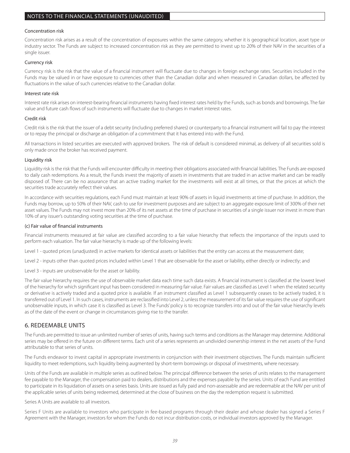### Concentration risk

Concentration risk arises as a result of the concentration of exposures within the same category, whether it is geographical location, asset type or industry sector. The Funds are subject to increased concentration risk as they are permitted to invest up to 20% of their NAV in the securities of a single issuer.

### Currency risk

Currency risk is the risk that the value of a financial instrument will fluctuate due to changes in foreign exchange rates. Securities included in the Funds may be valued in or have exposure to currencies other than the Canadian dollar and when measured in Canadian dollars, be affected by fluctuations in the value of such currencies relative to the Canadian dollar.

### Interest rate risk

Interest rate risk arises on interest-bearing financial instruments having fixed interest rates held by the Funds, such as bonds and borrowings. The fair value and future cash flows of such instruments will fluctuate due to changes in market interest rates.

### Credit risk

Credit risk is the risk that the issuer of a debt security (including preferred shares) or counterparty to a financial instrument will fail to pay the interest or to repay the principal or discharge an obligation of a commitment that it has entered into with the Fund.

All transactions in listed securities are executed with approved brokers. The risk of default is considered minimal, as delivery of all securities sold is only made once the broker has received payment.

### Liquidity risk

Liquidity risk is the risk that the Funds will encounter difficulty in meeting their obligations associated with financial liabilities. The Funds are exposed to daily cash redemptions. As a result, the Funds invest the majority of assets in investments that are traded in an active market and can be readily disposed of. There can be no assurance that an active trading market for the investments will exist at all times, or that the prices at which the securities trade accurately reflect their values.

In accordance with securities regulations, each Fund must maintain at least 90% of assets in liquid investments at time of purchase. In addition, the Funds may borrow, up to 50% of their NAV, cash to use for investment purposes and are subject to an aggregate exposure limit of 300% of their net asset values. The Funds may not invest more than 20% of its net assets at the time of purchase in securities of a single issuer nor invest in more than 10% of any issuer's outstanding voting securities at the time of purchase.

### (c) Fair value of financial instruments

Financial instruments measured at fair value are classified according to a fair value hierarchy that reflects the importance of the inputs used to perform each valuation. The fair value hierarchy is made up of the following levels:

Level 1 - quoted prices (unadjusted) in active markets for identical assets or liabilities that the entity can access at the measurement date;

Level 2 - inputs other than quoted prices included within Level 1 that are observable for the asset or liability, either directly or indirectly; and

Level 3 - inputs are unobservable for the asset or liability.

The fair value hierarchy requires the use of observable market data each time such data exists. A financial instrument is classified at the lowest level of the hierarchy for which significant input has been considered in measuring fair value. Fair values are classified as Level 1 when the related security or derivative is actively traded and a quoted price is available. If an instrument classified as Level 1 subsequently ceases to be actively traded, it is transferred out of Level 1. In such cases, instruments are reclassified into Level 2, unless the measurement of its fair value requires the use of significant unobservable inputs, in which case it is classified as Level 3. The Funds' policy is to recognize transfers into and out of the fair value hierarchy levels as of the date of the event or change in circumstances giving rise to the transfer.

### 6. REDEEMABLE UNITS

The Funds are permitted to issue an unlimited number of series of units, having such terms and conditions as the Manager may determine. Additional series may be offered in the future on different terms. Each unit of a series represents an undivided ownership interest in the net assets of the Fund attributable to that series of units.

The Funds endeavor to invest capital in appropriate investments in conjunction with their investment objectives. The Funds maintain sufficient liquidity to meet redemptions, such liquidity being augmented by short-term borrowings or disposal of investments, where necessary.

Units of the Funds are available in multiple series as outlined below. The principal difference between the series of units relates to the management fee payable to the Manager, the compensation paid to dealers, distributions and the expenses payable by the series. Units of each Fund are entitled to participate in its liquidation of assets on a series basis. Units are issued as fully paid and non-assessable and are redeemable at the NAV per unit of the applicable series of units being redeemed, determined at the close of business on the day the redemption request is submitted.

### Series A Units are available to all investors.

Series F Units are available to investors who participate in fee-based programs through their dealer and whose dealer has signed a Series F Agreement with the Manager, investors for whom the Funds do not incur distribution costs, or individual investors approved by the Manager.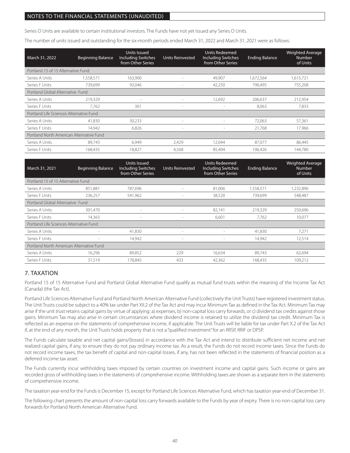Series O Units are available to certain institutional investors. The Funds have not yet issued any Series O Units.

The number of units issued and outstanding for the six-month periods ended March 31, 2022 and March 31, 2021 were as follows:

| March 31, 2022                           | <b>Beginning Balance</b> | Units Issued<br><b>Including Switches</b><br>from Other Series | <b>Units Reinvested</b>  | <b>Units Redeemed</b><br><b>Including Switches</b><br>from Other Series | <b>Ending Balance</b> | Weighted Average<br><b>Number</b><br>of Units |
|------------------------------------------|--------------------------|----------------------------------------------------------------|--------------------------|-------------------------------------------------------------------------|-----------------------|-----------------------------------------------|
| Portland 15 of 15 Alternative Fund       |                          |                                                                |                          |                                                                         |                       |                                               |
| Series A Units                           | 558,571                  | 163,900                                                        | $\overline{\phantom{a}}$ | 49,907                                                                  | 1,672,564             | 1,615,721                                     |
| Series F Units                           | 739.699                  | 93,046                                                         | $\sim$                   | 42,250                                                                  | 790,495               | 755,208                                       |
| Portland Global Alternative Fund         |                          |                                                                |                          |                                                                         |                       |                                               |
| Series A Units                           | 219.329                  | $\overline{\phantom{a}}$                                       | $\overline{\phantom{a}}$ | 12.692                                                                  | 206,637               | 212,954                                       |
| Series F Units                           | 7.762                    | 301                                                            | $\sim$                   | $\sim$                                                                  | 8,063                 | 7,833                                         |
| Portland Life Sciences Alternative Fund  |                          |                                                                |                          |                                                                         |                       |                                               |
| Series A Units                           | 41,830                   | 30,233                                                         | $\overline{\phantom{a}}$ |                                                                         | 72,063                | 57,361                                        |
| Series F Units                           | 14.942                   | 6,826                                                          | $\sim$                   | $\overline{\phantom{a}}$                                                | 21,768                | 17.966                                        |
| Portland North American Alternative Fund |                          |                                                                |                          |                                                                         |                       |                                               |
| Series A Units                           | 89.743                   | 6.949                                                          | 2.429                    | 12.044                                                                  | 87.077                | 86,445                                        |
| Series F Units                           | 168.435                  | 18.827                                                         | 4.568                    | 85.404                                                                  | 106.426               | 144.780                                       |

| March 31, 2021                           | <b>Beginning Balance</b> | <b>Units Issued</b><br><b>Including Switches</b><br>from Other Series | <b>Units Reinvested</b>  | <b>Units Redeemed</b><br><b>Including Switches</b><br>from Other Series | <b>Ending Balance</b> | Weighted Average<br><b>Number</b><br>of Units |
|------------------------------------------|--------------------------|-----------------------------------------------------------------------|--------------------------|-------------------------------------------------------------------------|-----------------------|-----------------------------------------------|
| Portland 15 of 15 Alternative Fund       |                          |                                                                       |                          |                                                                         |                       |                                               |
| Series A Units                           | 851,881                  | 787,696                                                               |                          | 81,006                                                                  | 1,558,571             | ,232,896                                      |
| Series F Units                           | 236,257                  | 541,962                                                               | $\sim$                   | 38,520                                                                  | 739,699               | 548,487                                       |
| Portland Global Alternative Fund         |                          |                                                                       |                          |                                                                         |                       |                                               |
| Series A Units                           | 301,470                  | $\overline{\phantom{a}}$                                              | $\overline{\phantom{a}}$ | 82,141                                                                  | 219,329               | 250,696                                       |
| Series F Units                           | 14,363                   | $\sim$                                                                | $\overline{\phantom{a}}$ | 6,601                                                                   | 7,762                 | 10,077                                        |
| Portland Life Sciences Alternative Fund  |                          |                                                                       |                          |                                                                         |                       |                                               |
| Series A Units                           |                          | 41,830                                                                | $\sim$                   |                                                                         | 41,830                | 7,271                                         |
| Series F Units                           | $\overline{\phantom{a}}$ | 14,942                                                                | $\overline{\phantom{a}}$ | $\overline{\phantom{a}}$                                                | 14,942                | 12,514                                        |
| Portland North American Alternative Fund |                          |                                                                       |                          |                                                                         |                       |                                               |
| Series A Units                           | 16,296                   | 89.852                                                                | 229                      | 16.634                                                                  | 89,743                | 62,694                                        |
| Series F Units                           | 31,519                   | 178,845                                                               | 433                      | 42,362                                                                  | 168,435               | 109,212                                       |

### 7. TAXATION

Portland 15 of 15 Alternative Fund and Portland Global Alternative Fund qualify as mutual fund trusts within the meaning of the Income Tax Act (Canada) (the Tax Act).

Portland Life Sciences Alternative Fund and Portland North American Alternative Fund (collectively the Unit Trusts) have registered investment status. The Unit Trusts could be subject to a 40% tax under Part XII.2 of the Tax Act and may incur Minimum Tax as defined in the Tax Act. Minimum Tax may arise if the unit trust retains capital gains by virtue of applying: a) expenses, b) non-capital loss carry forwards, or c) dividend tax credits against those gains. Minimum Tax may also arise in certain circumstances where dividend income is retained to utilize the dividend tax credit. Minimum Tax is reflected as an expense on the statements of comprehensive income, if applicable. The Unit Trusts will be liable for tax under Part X.2 of the Tax Act if, at the end of any month, the Unit Trusts holds property that is not a "qualified investment" for an RRSP, RRIF or DPSP.

The Funds calculate taxable and net capital gains/(losses) in accordance with the Tax Act and intend to distribute sufficient net income and net realized capital gains, if any, to ensure they do not pay ordinary income tax. As a result, the Funds do not record income taxes. Since the Funds do not record income taxes, the tax benefit of capital and non-capital losses, if any, has not been reflected in the statements of financial position as a deferred income tax asset.

The Funds currently incur withholding taxes imposed by certain countries on investment income and capital gains. Such income or gains are recorded gross of withholding taxes in the statements of comprehensive income. Withholding taxes are shown as a separate item in the statements of comprehensive income.

The taxation year-end for the Funds is December 15, except for Portland Life Sciences Alternative Fund, which has taxation year-end of December 31.

The following chart presents the amount of non-capital loss carry forwards available to the Funds by year of expiry. There is no non-capital loss carry forwards for Portland North American Alternative Fund.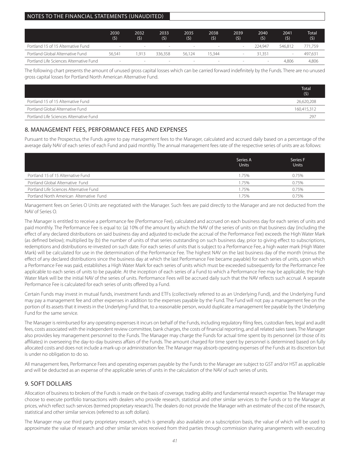|                                         | 2030<br>(5) | 2032<br>(5) | 2033<br>(5) | 2035<br>(5)              | 2038<br>(\$) | 2039<br>(5) | 2040<br>(5) | 2041<br>(5) | <b>Total</b><br>(5) |
|-----------------------------------------|-------------|-------------|-------------|--------------------------|--------------|-------------|-------------|-------------|---------------------|
| Portland 15 of 15 Alternative Fund      | $\sim$      | -           | $\sim$      | $\overline{\phantom{a}}$ | $\sim$       |             | 224.947     | 546.812     | 771.759             |
| Portland Global Alternative Fund        | 56.541      | .913        | 336.358     | 56.124                   | 15.344       |             | 31.351      |             | 497,631             |
| Portland Life Sciences Alternative Fund |             |             | $\sim$      | $\sim$                   | $\,$         |             |             | 4.806       | 4,806               |

The following chart presents the amount of unused gross capital losses which can be carried forward indefinitely by the Funds. There are no unused gross capital losses for Portland North American Alternative Fund.

|                                         | Total<br>(5) |
|-----------------------------------------|--------------|
| Portland 15 of 15 Alternative Fund      | 26,620,208   |
| Portland Global Alternative Fund        | 160,415,312  |
| Portland Life Sciences Alternative Fund | 297          |

### 8. MANAGEMENT FEES, PERFORMANCE FEES AND EXPENSES

Pursuant to the Prospectus, the Funds agree to pay management fees to the Manager, calculated and accrued daily based on a percentage of the average daily NAV of each series of each Fund and paid monthly. The annual management fees rate of the respective series of units are as follows:

|                                          | Series A<br><b>Units</b> | Series F<br><b>Units</b> |
|------------------------------------------|--------------------------|--------------------------|
| Portland 15 of 15 Alternative Fund       | 1.75%                    | 0.75%                    |
| Portland Global Alternative Fund         | 1.75%                    | 0.75%                    |
| Portland Life Sciences Alternative Fund  | .75%                     | 0.75%                    |
| Portland North American Alternative Fund | 75%                      | 0.75%                    |

Management fees on Series O Units are negotiated with the Manager. Such fees are paid directly to the Manager and are not deducted from the NAV of Series O.

The Manager is entitled to receive a performance fee (Performance Fee), calculated and accrued on each business day for each series of units and paid monthly. The Performance Fee is equal to: (a) 10% of the amount by which the NAV of the series of units on that business day (including the effect of any declared distributions on said business day and adjusted to exclude the accrual of the Performance Fee) exceeds the High Water Mark (as defined below); multiplied by (b) the number of units of that series outstanding on such business day, prior to giving effect to subscriptions, redemptions and distributions re-invested on such date. For each series of units that is subject to a Performance Fee, a high water mark (High Water Mark) will be calculated for use in the determination of the Performance Fee. The highest NAV on the last business day of the month (minus the effect of any declared distributions since the business day at which the last Performance Fee became payable) for each series of units, upon which a Performance Fee was paid, establishes a High Water Mark for each series of units which must be exceeded subsequently for the Performance Fee applicable to each series of units to be payable. At the inception of each series of a Fund to which a Performance Fee may be applicable, the High Water Mark will be the initial NAV of the series of units. Performance Fees will be accrued daily such that the NAV reflects such accrual. A separate Performance Fee is calculated for each series of units offered by a Fund.

Certain Funds may invest in mutual funds, investment funds and ETFs (collectively referred to as an Underlying Fund), and the Underlying Fund may pay a management fee and other expenses in addition to the expenses payable by the Fund. The Fund will not pay a management fee on the portion of its assets that it invests in the Underlying Fund that, to a reasonable person, would duplicate a management fee payable by the Underlying Fund for the same service.

The Manager is reimbursed for any operating expenses it incurs on behalf of the Funds, including regulatory filing fees, custodian fees, legal and audit fees, costs associated with the independent review committee, bank charges, the costs of financial reporting, and all related sales taxes. The Manager also provides key management personnel to the Funds. The Manager may charge the Funds for actual time spent by its personnel (or those of its affiliates) in overseeing the day-to-day business affairs of the Funds. The amount charged for time spent by personnel is determined based on fully allocated costs and does not include a mark-up or administration fee. The Manager may absorb operating expenses of the Funds at its discretion but is under no obligation to do so.

All management fees, Performance Fees and operating expenses payable by the Funds to the Manager are subject to GST and/or HST as applicable and will be deducted as an expense of the applicable series of units in the calculation of the NAV of such series of units.

## 9. SOFT DOLLARS

Allocation of business to brokers of the Funds is made on the basis of coverage, trading ability and fundamental research expertise. The Manager may choose to execute portfolio transactions with dealers who provide research, statistical and other similar services to the Funds or to the Manager at prices, which reflect such services (termed proprietary research). The dealers do not provide the Manager with an estimate of the cost of the research, statistical and other similar services (referred to as soft dollars).

The Manager may use third party proprietary research, which is generally also available on a subscription basis, the value of which will be used to approximate the value of research and other similar services received from third parties through commission sharing arrangements with executing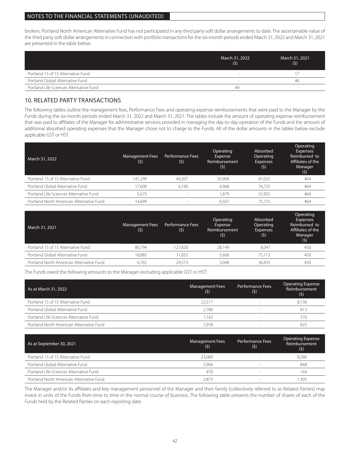brokers. Portland North American Alternative Fund has not participated in any third party soft dollar arrangements to date. The ascertainable value of the third party soft dollar arrangements in connection with portfolio transactions for the six-month periods ended March 31, 2022 and March 31, 2021 are presented in the table below.

|                                         | March 31, 2022<br>(5) | March 31, 2021<br>(5) |
|-----------------------------------------|-----------------------|-----------------------|
| Portland 15 of 15 Alternative Fund      | $\sim$                |                       |
| Portland Global Alternative Fund        | $\sim$                | 46                    |
| Portland Life Sciences Alternative Fund | 49                    |                       |

## 10. RELATED PARTY TRANSACTIONS

The following tables outline the management fees, Performance Fees and operating expense reimbursements that were paid to the Manager by the Funds during the six-month periods ended March 31, 2022 and March 31, 2021. The tables include the amount of operating expense reimbursement that was paid to affiliates of the Manager for administrative services provided in managing the day-to-day operation of the Funds and the amount of additional absorbed operating expenses that the Manager chose not to charge to the Funds. All of the dollar amounts in the tables below exclude applicable GST or HST.

| March 31, 2022                           | <b>Management Fees</b><br>(5) | <b>Performance Fees</b><br>(5) | Operating<br><b>Expense</b><br>Reimbursement<br>(5) | Absorbed<br>Operating<br>Expenses<br>(5) | Operating<br><b>Expenses</b><br>Reimbursed to<br>Affiliates of the<br>Manager<br>(5) |
|------------------------------------------|-------------------------------|--------------------------------|-----------------------------------------------------|------------------------------------------|--------------------------------------------------------------------------------------|
| Portland 15 of 15 Alternative Fund       | 141.299                       | 40.207                         | 50.908                                              | 47.025                                   | 464                                                                                  |
| Portland Global Alternative Fund         | 17.000                        | 6.190                          | 4.968                                               | 74.725                                   | 464                                                                                  |
| Portland Life Sciences Alternative Fund  | 5.675                         | $\overline{\phantom{a}}$       | .879                                                | 55.955                                   | 464                                                                                  |
| Portland North American Alternative Fund | 14.699                        | $\overline{\phantom{a}}$       | 6.567                                               | 75.715                                   | 464                                                                                  |

| March 31, 2021                           | Management Fees<br>(5) | <b>Performance Fees</b><br>(5) | Operating<br>Expense<br>Reimbursement<br>(5) | Absorbed<br>Operating<br><b>Expenses</b><br>(5) | Operating<br><b>Expenses</b><br>Reimbursed to<br>Affiliates of the<br>Manager<br>(5) |
|------------------------------------------|------------------------|--------------------------------|----------------------------------------------|-------------------------------------------------|--------------------------------------------------------------------------------------|
| Portland 15 of 15 Alternative Fund       | 80.794                 | 127.820                        | 28.149                                       | 8.047                                           | 450                                                                                  |
| Portland Global Alternative Fund         | 18.885                 | 11.832                         | 5.606                                        | 75.113                                          | 450                                                                                  |
| Portland North American Alternative Fund | 6.765                  | 29.573                         | 3.048                                        | 36.835                                          | 450                                                                                  |

The Funds owed the following amounts to the Manager excluding applicable GST or HST:

| As at March 31, 2022                     | <b>Management Fees</b><br>(5) | Performance Fees<br>(5) | <b>Operating Expense</b><br>Reimbursement<br>(5) |
|------------------------------------------|-------------------------------|-------------------------|--------------------------------------------------|
| Portland 15 of 15 Alternative Fund       | 22.517                        |                         | 8,136                                            |
| Portland Global Alternative Fund         | 2.780                         |                         | 813                                              |
| Portland Life Sciences Alternative Fund  | 1.142                         |                         | 376                                              |
| Portland North American Alternative Fund | .978                          |                         | 825                                              |

| As at September 30, 2021                 | <b>Management Fees</b><br>(5) | Performance Fees<br>(5) | <b>Operating Expense</b><br>Reimbursement<br>(5) |
|------------------------------------------|-------------------------------|-------------------------|--------------------------------------------------|
| Portland 15 of 15 Alternative Fund       | 23.089                        |                         | 8.286                                            |
| Portland Global Alternative Fund         | 2.906                         | <b>Section</b>          | 848                                              |
| Portland Life Sciences Alternative Fund  | 470                           | $\sim$                  | 164                                              |
| Portland North American Alternative Fund | 2.873                         |                         | 1.305                                            |

The Manager and/or its affiliates and key management personnel of the Manager and their family (collectively referred to as Related Parties) may invest in units of the Funds from time to time in the normal course of business. The following table presents the number of shares of each of the Funds held by the Related Parties on each reporting date.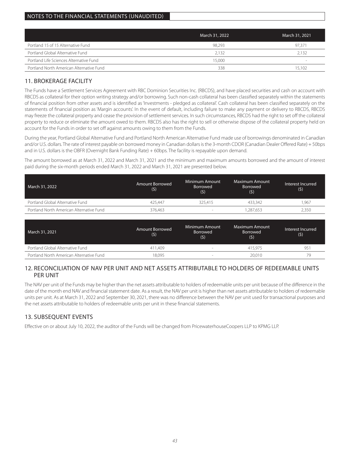|                                          | March 31, 2022 | March 31, 2021 |
|------------------------------------------|----------------|----------------|
| Portland 15 of 15 Alternative Fund       | 98.293         | 97.371         |
| Portland Global Alternative Fund         | 2.132          | 2.132          |
| Portland Life Sciences Alternative Fund  | 15,000         | $\,$           |
| Portland North American Alternative Fund | 338            | 15.102         |

## 11. BROKERAGE FACILITY

The Funds have a Settlement Services Agreement with RBC Dominion Securities Inc. (RBCDS), and have placed securities and cash on account with RBCDS as collateral for their option writing strategy and/or borrowing. Such non-cash collateral has been classified separately within the statements of financial position from other assets and is identified as 'Investments - pledged as collateral'. Cash collateral has been classified separately on the statements of financial position as 'Margin accounts'. In the event of default, including failure to make any payment or delivery to RBCDS, RBCDS may freeze the collateral property and cease the provision of settlement services. In such circumstances, RBCDS had the right to set off the collateral property to reduce or eliminate the amount owed to them. RBCDS also has the right to sell or otherwise dispose of the collateral property held on account for the Funds in order to set off against amounts owing to them from the Funds.

During the year, Portland Global Alternative Fund and Portland North American Alternative Fund made use of borrowings denominated in Canadian and/or U.S. dollars. The rate of interest payable on borrowed money in Canadian dollars is the 3-month CDOR (Canadian Dealer Offered Rate) + 50bps and in U.S. dollars is the OBFR (Overnight Bank Funding Rate) + 60bps. The facility is repayable upon demand.

The amount borrowed as at March 31, 2022 and March 31, 2021 and the minimum and maximum amounts borrowed and the amount of interest paid during the six-month periods ended March 31, 2022 and March 31, 2021 are presented below.

| March 31, 2022                           | Amount Borrowed<br>(5) | Minimum Amount<br>Borrowed<br>(5) | Maximum Amount<br><b>Borrowed</b><br>(5) | Interest Incurred<br>(5) |
|------------------------------------------|------------------------|-----------------------------------|------------------------------------------|--------------------------|
| Portland Global Alternative Fund         | 425.447                | 325.415                           | 433.342                                  | 1.967                    |
| Portland North American Alternative Fund | 376.463                |                                   | .287.653                                 | 2,350                    |

| March 31, 2021                           | Amount Borrowed<br>(5) | Minimum Amount<br>Borrowed<br>(5) | Maximum Amount<br>Borrowed<br>(5) | Interest Incurred<br>(5) |
|------------------------------------------|------------------------|-----------------------------------|-----------------------------------|--------------------------|
| Portland Global Alternative Fund         | 411.409                |                                   | 415.975                           | 95                       |
| Portland North American Alternative Fund | 18.095                 | <b>Section</b>                    | 20.010                            | 79                       |

### 12. RECONCILIATION OF NAV PER UNIT AND NET ASSETS ATTRIBUTABLE TO HOLDERS OF REDEEMABLE UNITS PER UNIT

The NAV per unit of the Funds may be higher than the net assets attributable to holders of redeemable units per unit because of the difference in the date of the month end NAV and financial statement date. As a result, the NAV per unit is higher than net assets attributable to holders of redeemable units per unit. As at March 31, 2022 and September 30, 2021, there was no difference between the NAV per unit used for transactional purposes and the net assets attributable to holders of redeemable units per unit in these financial statements.

## 13. SUBSEQUENT EVENTS

Effective on or about July 10, 2022, the auditor of the Funds will be changed from PricewaterhouseCoopers LLP to KPMG LLP.